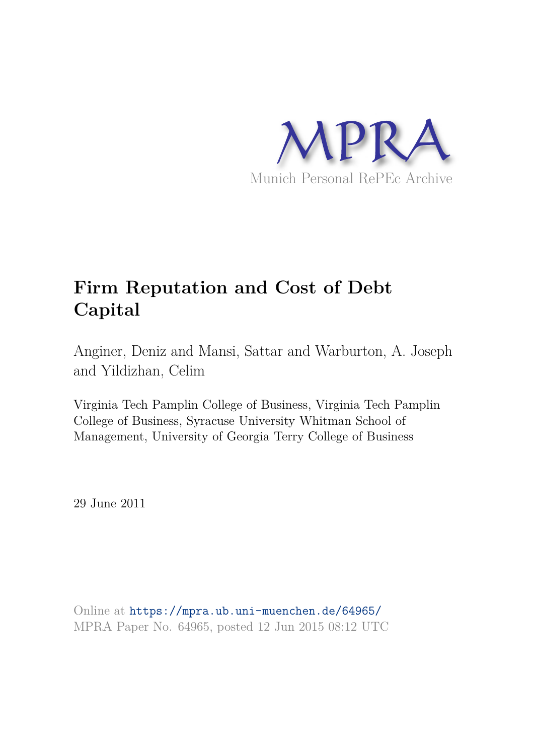

# **Firm Reputation and Cost of Debt Capital**

Anginer, Deniz and Mansi, Sattar and Warburton, A. Joseph and Yildizhan, Celim

Virginia Tech Pamplin College of Business, Virginia Tech Pamplin College of Business, Syracuse University Whitman School of Management, University of Georgia Terry College of Business

29 June 2011

Online at https://mpra.ub.uni-muenchen.de/64965/ MPRA Paper No. 64965, posted 12 Jun 2015 08:12 UTC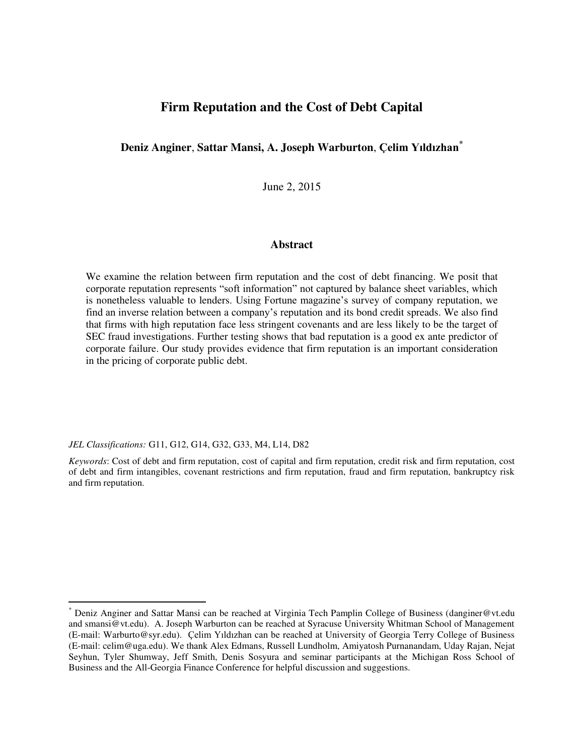# **Firm Reputation and the Cost of Debt Capital**

# **Deniz Anginer**, **Sattar Mansi, A. Joseph Warburton**, **Çelim Yıldızhan\***

June 2, 2015

#### **Abstract**

We examine the relation between firm reputation and the cost of debt financing. We posit that corporate reputation represents "soft information" not captured by balance sheet variables, which is nonetheless valuable to lenders. Using Fortune magazine's survey of company reputation, we find an inverse relation between a company's reputation and its bond credit spreads. We also find that firms with high reputation face less stringent covenants and are less likely to be the target of SEC fraud investigations. Further testing shows that bad reputation is a good ex ante predictor of corporate failure. Our study provides evidence that firm reputation is an important consideration in the pricing of corporate public debt.

*JEL Classifications:* G11, G12, G14, G32, G33, M4, L14, D82

 $\overline{a}$ 

*Keywords*: Cost of debt and firm reputation, cost of capital and firm reputation, credit risk and firm reputation, cost of debt and firm intangibles, covenant restrictions and firm reputation, fraud and firm reputation, bankruptcy risk and firm reputation.

<sup>\*</sup> Deniz Anginer and Sattar Mansi can be reached at Virginia Tech Pamplin College of Business (danginer@vt.edu and smansi@vt.edu). A. Joseph Warburton can be reached at Syracuse University Whitman School of Management (E-mail: Warburto@syr.edu). Çelim Yıldızhan can be reached at University of Georgia Terry College of Business (E-mail: celim@uga.edu). We thank Alex Edmans, Russell Lundholm, Amiyatosh Purnanandam, Uday Rajan, Nejat Seyhun, Tyler Shumway, Jeff Smith, Denis Sosyura and seminar participants at the Michigan Ross School of Business and the All-Georgia Finance Conference for helpful discussion and suggestions.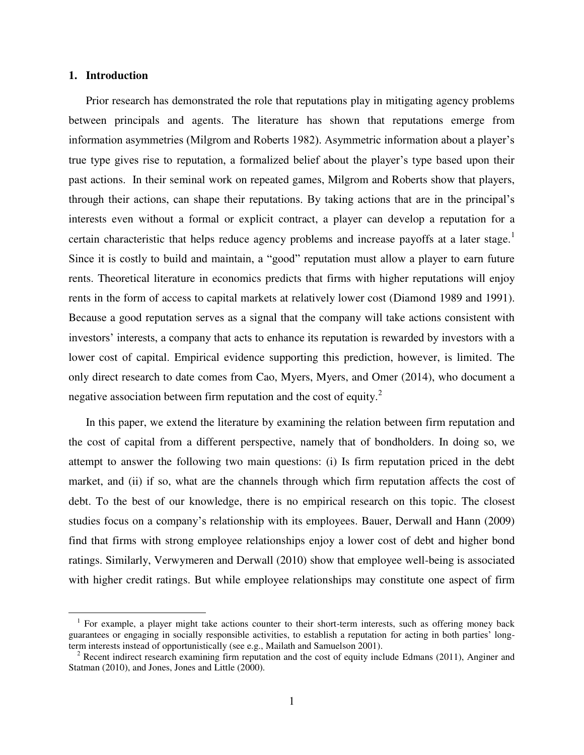## **1. Introduction**

 $\overline{a}$ 

Prior research has demonstrated the role that reputations play in mitigating agency problems between principals and agents. The literature has shown that reputations emerge from information asymmetries (Milgrom and Roberts 1982). Asymmetric information about a player's true type gives rise to reputation, a formalized belief about the player's type based upon their past actions. In their seminal work on repeated games, Milgrom and Roberts show that players, through their actions, can shape their reputations. By taking actions that are in the principal's interests even without a formal or explicit contract, a player can develop a reputation for a certain characteristic that helps reduce agency problems and increase payoffs at a later stage.<sup>1</sup> Since it is costly to build and maintain, a "good" reputation must allow a player to earn future rents. Theoretical literature in economics predicts that firms with higher reputations will enjoy rents in the form of access to capital markets at relatively lower cost (Diamond 1989 and 1991). Because a good reputation serves as a signal that the company will take actions consistent with investors' interests, a company that acts to enhance its reputation is rewarded by investors with a lower cost of capital. Empirical evidence supporting this prediction, however, is limited. The only direct research to date comes from Cao, Myers, Myers, and Omer (2014), who document a negative association between firm reputation and the cost of equity. $^{2}$ 

In this paper, we extend the literature by examining the relation between firm reputation and the cost of capital from a different perspective, namely that of bondholders. In doing so, we attempt to answer the following two main questions: (i) Is firm reputation priced in the debt market, and (ii) if so, what are the channels through which firm reputation affects the cost of debt. To the best of our knowledge, there is no empirical research on this topic. The closest studies focus on a company's relationship with its employees. Bauer, Derwall and Hann (2009) find that firms with strong employee relationships enjoy a lower cost of debt and higher bond ratings. Similarly, Verwymeren and Derwall (2010) show that employee well-being is associated with higher credit ratings. But while employee relationships may constitute one aspect of firm

<sup>&</sup>lt;sup>1</sup> For example, a player might take actions counter to their short-term interests, such as offering money back guarantees or engaging in socially responsible activities, to establish a reputation for acting in both parties' longterm interests instead of opportunistically (see e.g., Mailath and Samuelson 2001).

 $2^2$  Recent indirect research examining firm reputation and the cost of equity include Edmans (2011), Anginer and Statman (2010), and Jones, Jones and Little (2000).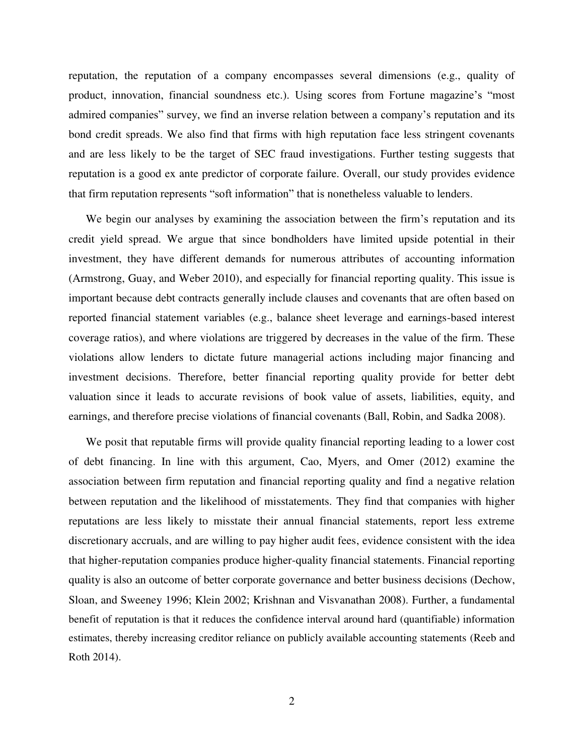reputation, the reputation of a company encompasses several dimensions (e.g., quality of product, innovation, financial soundness etc.). Using scores from Fortune magazine's "most admired companies" survey, we find an inverse relation between a company's reputation and its bond credit spreads. We also find that firms with high reputation face less stringent covenants and are less likely to be the target of SEC fraud investigations. Further testing suggests that reputation is a good ex ante predictor of corporate failure. Overall, our study provides evidence that firm reputation represents "soft information" that is nonetheless valuable to lenders.

We begin our analyses by examining the association between the firm's reputation and its credit yield spread. We argue that since bondholders have limited upside potential in their investment, they have different demands for numerous attributes of accounting information (Armstrong, Guay, and Weber 2010), and especially for financial reporting quality. This issue is important because debt contracts generally include clauses and covenants that are often based on reported financial statement variables (e.g., balance sheet leverage and earnings-based interest coverage ratios), and where violations are triggered by decreases in the value of the firm. These violations allow lenders to dictate future managerial actions including major financing and investment decisions. Therefore, better financial reporting quality provide for better debt valuation since it leads to accurate revisions of book value of assets, liabilities, equity, and earnings, and therefore precise violations of financial covenants (Ball, Robin, and Sadka 2008).

We posit that reputable firms will provide quality financial reporting leading to a lower cost of debt financing. In line with this argument, Cao, Myers, and Omer (2012) examine the association between firm reputation and financial reporting quality and find a negative relation between reputation and the likelihood of misstatements. They find that companies with higher reputations are less likely to misstate their annual financial statements, report less extreme discretionary accruals, and are willing to pay higher audit fees, evidence consistent with the idea that higher-reputation companies produce higher-quality financial statements. Financial reporting quality is also an outcome of better corporate governance and better business decisions (Dechow, Sloan, and Sweeney 1996; Klein 2002; Krishnan and Visvanathan 2008). Further, a fundamental benefit of reputation is that it reduces the confidence interval around hard (quantifiable) information estimates, thereby increasing creditor reliance on publicly available accounting statements (Reeb and Roth 2014).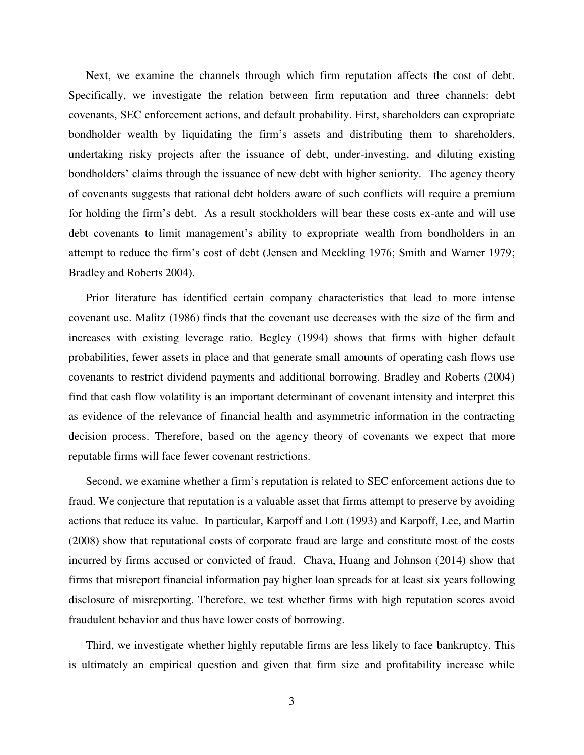Next, we examine the channels through which firm reputation affects the cost of debt. Specifically, we investigate the relation between firm reputation and three channels: debt covenants, SEC enforcement actions, and default probability. First, shareholders can expropriate bondholder wealth by liquidating the firm's assets and distributing them to shareholders, undertaking risky projects after the issuance of debt, under-investing, and diluting existing bondholders' claims through the issuance of new debt with higher seniority. The agency theory of covenants suggests that rational debt holders aware of such conflicts will require a premium for holding the firm's debt. As a result stockholders will bear these costs ex-ante and will use debt covenants to limit management's ability to expropriate wealth from bondholders in an attempt to reduce the firm's cost of debt (Jensen and Meckling 1976; Smith and Warner 1979; Bradley and Roberts 2004).

Prior literature has identified certain company characteristics that lead to more intense covenant use. Malitz (1986) finds that the covenant use decreases with the size of the firm and increases with existing leverage ratio. Begley (1994) shows that firms with higher default probabilities, fewer assets in place and that generate small amounts of operating cash flows use covenants to restrict dividend payments and additional borrowing. Bradley and Roberts (2004) find that cash flow volatility is an important determinant of covenant intensity and interpret this as evidence of the relevance of financial health and asymmetric information in the contracting decision process. Therefore, based on the agency theory of covenants we expect that more reputable firms will face fewer covenant restrictions.

Second, we examine whether a firm's reputation is related to SEC enforcement actions due to fraud. We conjecture that reputation is a valuable asset that firms attempt to preserve by avoiding actions that reduce its value. In particular, Karpoff and Lott (1993) and Karpoff, Lee, and Martin (2008) show that reputational costs of corporate fraud are large and constitute most of the costs incurred by firms accused or convicted of fraud. Chava, Huang and Johnson (2014) show that firms that misreport financial information pay higher loan spreads for at least six years following disclosure of misreporting. Therefore, we test whether firms with high reputation scores avoid fraudulent behavior and thus have lower costs of borrowing.

Third, we investigate whether highly reputable firms are less likely to face bankruptcy. This is ultimately an empirical question and given that firm size and profitability increase while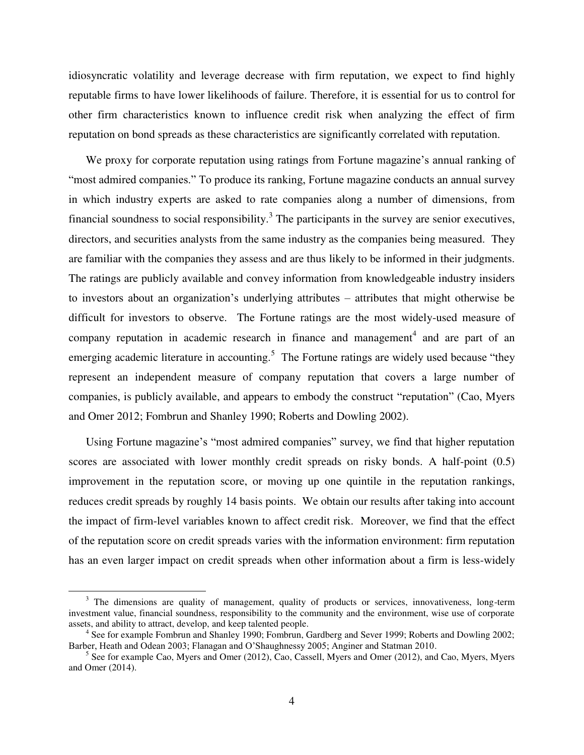idiosyncratic volatility and leverage decrease with firm reputation, we expect to find highly reputable firms to have lower likelihoods of failure. Therefore, it is essential for us to control for other firm characteristics known to influence credit risk when analyzing the effect of firm reputation on bond spreads as these characteristics are significantly correlated with reputation.

We proxy for corporate reputation using ratings from Fortune magazine's annual ranking of "most admired companies." To produce its ranking, Fortune magazine conducts an annual survey in which industry experts are asked to rate companies along a number of dimensions, from financial soundness to social responsibility.<sup>3</sup> The participants in the survey are senior executives, directors, and securities analysts from the same industry as the companies being measured. They are familiar with the companies they assess and are thus likely to be informed in their judgments. The ratings are publicly available and convey information from knowledgeable industry insiders to investors about an organization's underlying attributes – attributes that might otherwise be difficult for investors to observe. The Fortune ratings are the most widely-used measure of company reputation in academic research in finance and management<sup>4</sup> and are part of an emerging academic literature in accounting.<sup>5</sup> The Fortune ratings are widely used because "they represent an independent measure of company reputation that covers a large number of companies, is publicly available, and appears to embody the construct "reputation" (Cao, Myers and Omer 2012; Fombrun and Shanley 1990; Roberts and Dowling 2002).

Using Fortune magazine's "most admired companies" survey, we find that higher reputation scores are associated with lower monthly credit spreads on risky bonds. A half-point (0.5) improvement in the reputation score, or moving up one quintile in the reputation rankings, reduces credit spreads by roughly 14 basis points. We obtain our results after taking into account the impact of firm-level variables known to affect credit risk. Moreover, we find that the effect of the reputation score on credit spreads varies with the information environment: firm reputation has an even larger impact on credit spreads when other information about a firm is less-widely

 $\overline{a}$ 

<sup>&</sup>lt;sup>3</sup> The dimensions are quality of management, quality of products or services, innovativeness, long-term investment value, financial soundness, responsibility to the community and the environment, wise use of corporate assets, and ability to attract, develop, and keep talented people.

<sup>&</sup>lt;sup>4</sup> See for example Fombrun and Shanley 1990; Fombrun, Gardberg and Sever 1999; Roberts and Dowling 2002; Barber, Heath and Odean 2003; Flanagan and O'Shaughnessy 2005; Anginer and Statman 2010.

<sup>&</sup>lt;sup>5</sup> See for example Cao, Myers and Omer (2012), Cao, Cassell, Myers and Omer (2012), and Cao, Myers, Myers and Omer (2014).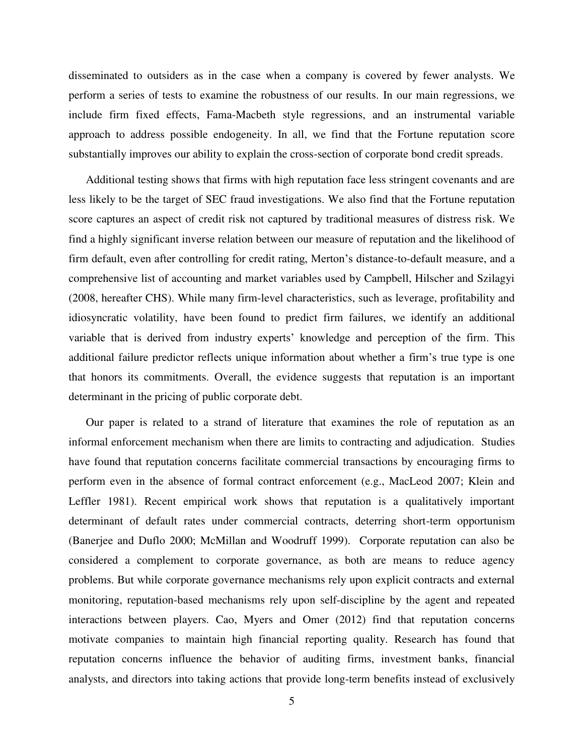disseminated to outsiders as in the case when a company is covered by fewer analysts. We perform a series of tests to examine the robustness of our results. In our main regressions, we include firm fixed effects, Fama-Macbeth style regressions, and an instrumental variable approach to address possible endogeneity. In all, we find that the Fortune reputation score substantially improves our ability to explain the cross-section of corporate bond credit spreads.

Additional testing shows that firms with high reputation face less stringent covenants and are less likely to be the target of SEC fraud investigations. We also find that the Fortune reputation score captures an aspect of credit risk not captured by traditional measures of distress risk. We find a highly significant inverse relation between our measure of reputation and the likelihood of firm default, even after controlling for credit rating, Merton's distance-to-default measure, and a comprehensive list of accounting and market variables used by Campbell, Hilscher and Szilagyi (2008, hereafter CHS). While many firm-level characteristics, such as leverage, profitability and idiosyncratic volatility, have been found to predict firm failures, we identify an additional variable that is derived from industry experts' knowledge and perception of the firm. This additional failure predictor reflects unique information about whether a firm's true type is one that honors its commitments. Overall, the evidence suggests that reputation is an important determinant in the pricing of public corporate debt.

Our paper is related to a strand of literature that examines the role of reputation as an informal enforcement mechanism when there are limits to contracting and adjudication. Studies have found that reputation concerns facilitate commercial transactions by encouraging firms to perform even in the absence of formal contract enforcement (e.g., MacLeod 2007; Klein and Leffler 1981). Recent empirical work shows that reputation is a qualitatively important determinant of default rates under commercial contracts, deterring short-term opportunism (Banerjee and Duflo 2000; McMillan and Woodruff 1999). Corporate reputation can also be considered a complement to corporate governance, as both are means to reduce agency problems. But while corporate governance mechanisms rely upon explicit contracts and external monitoring, reputation-based mechanisms rely upon self-discipline by the agent and repeated interactions between players. Cao, Myers and Omer (2012) find that reputation concerns motivate companies to maintain high financial reporting quality. Research has found that reputation concerns influence the behavior of auditing firms, investment banks, financial analysts, and directors into taking actions that provide long-term benefits instead of exclusively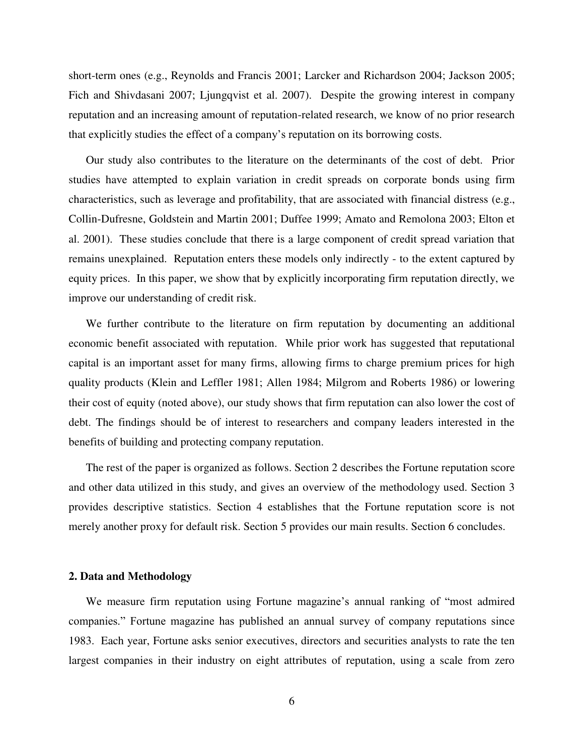short-term ones (e.g., Reynolds and Francis 2001; Larcker and Richardson 2004; Jackson 2005; Fich and Shivdasani 2007; Ljungqvist et al. 2007). Despite the growing interest in company reputation and an increasing amount of reputation-related research, we know of no prior research that explicitly studies the effect of a company's reputation on its borrowing costs.

Our study also contributes to the literature on the determinants of the cost of debt. Prior studies have attempted to explain variation in credit spreads on corporate bonds using firm characteristics, such as leverage and profitability, that are associated with financial distress (e.g., Collin-Dufresne, Goldstein and Martin 2001; Duffee 1999; Amato and Remolona 2003; Elton et al. 2001). These studies conclude that there is a large component of credit spread variation that remains unexplained. Reputation enters these models only indirectly - to the extent captured by equity prices. In this paper, we show that by explicitly incorporating firm reputation directly, we improve our understanding of credit risk.

We further contribute to the literature on firm reputation by documenting an additional economic benefit associated with reputation. While prior work has suggested that reputational capital is an important asset for many firms, allowing firms to charge premium prices for high quality products (Klein and Leffler 1981; Allen 1984; Milgrom and Roberts 1986) or lowering their cost of equity (noted above), our study shows that firm reputation can also lower the cost of debt. The findings should be of interest to researchers and company leaders interested in the benefits of building and protecting company reputation.

The rest of the paper is organized as follows. Section 2 describes the Fortune reputation score and other data utilized in this study, and gives an overview of the methodology used. Section 3 provides descriptive statistics. Section 4 establishes that the Fortune reputation score is not merely another proxy for default risk. Section 5 provides our main results. Section 6 concludes.

#### **2. Data and Methodology**

We measure firm reputation using Fortune magazine's annual ranking of "most admired companies." Fortune magazine has published an annual survey of company reputations since 1983. Each year, Fortune asks senior executives, directors and securities analysts to rate the ten largest companies in their industry on eight attributes of reputation, using a scale from zero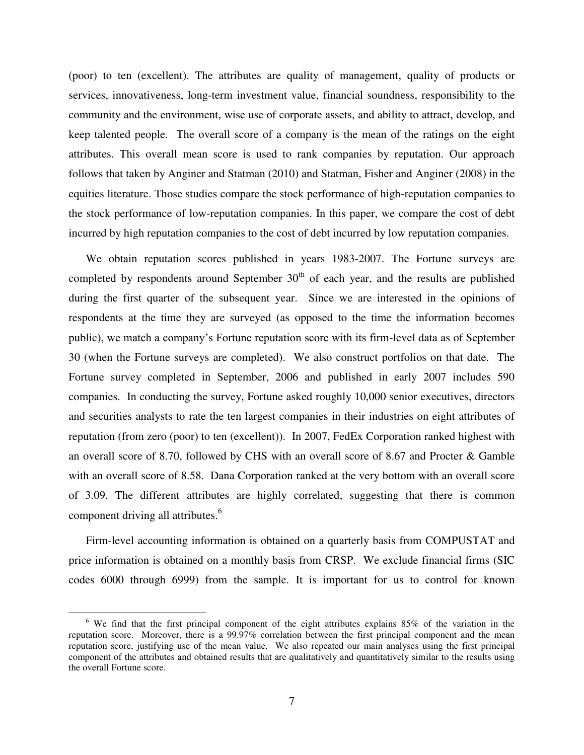(poor) to ten (excellent). The attributes are quality of management, quality of products or services, innovativeness, long-term investment value, financial soundness, responsibility to the community and the environment, wise use of corporate assets, and ability to attract, develop, and keep talented people. The overall score of a company is the mean of the ratings on the eight attributes. This overall mean score is used to rank companies by reputation. Our approach follows that taken by Anginer and Statman (2010) and Statman, Fisher and Anginer (2008) in the equities literature. Those studies compare the stock performance of high-reputation companies to the stock performance of low-reputation companies. In this paper, we compare the cost of debt incurred by high reputation companies to the cost of debt incurred by low reputation companies.

We obtain reputation scores published in years 1983-2007. The Fortune surveys are completed by respondents around September  $30<sup>th</sup>$  of each year, and the results are published during the first quarter of the subsequent year. Since we are interested in the opinions of respondents at the time they are surveyed (as opposed to the time the information becomes public), we match a company's Fortune reputation score with its firm-level data as of September 30 (when the Fortune surveys are completed). We also construct portfolios on that date. The Fortune survey completed in September, 2006 and published in early 2007 includes 590 companies. In conducting the survey, Fortune asked roughly 10,000 senior executives, directors and securities analysts to rate the ten largest companies in their industries on eight attributes of reputation (from zero (poor) to ten (excellent)). In 2007, FedEx Corporation ranked highest with an overall score of 8.70, followed by CHS with an overall score of 8.67 and Procter & Gamble with an overall score of 8.58. Dana Corporation ranked at the very bottom with an overall score of 3.09. The different attributes are highly correlated, suggesting that there is common component driving all attributes.<sup>6</sup>

Firm-level accounting information is obtained on a quarterly basis from COMPUSTAT and price information is obtained on a monthly basis from CRSP. We exclude financial firms (SIC codes 6000 through 6999) from the sample. It is important for us to control for known

 $\overline{a}$ 

<sup>&</sup>lt;sup>6</sup> We find that the first principal component of the eight attributes explains 85% of the variation in the reputation score. Moreover, there is a 99.97% correlation between the first principal component and the mean reputation score, justifying use of the mean value. We also repeated our main analyses using the first principal component of the attributes and obtained results that are qualitatively and quantitatively similar to the results using the overall Fortune score.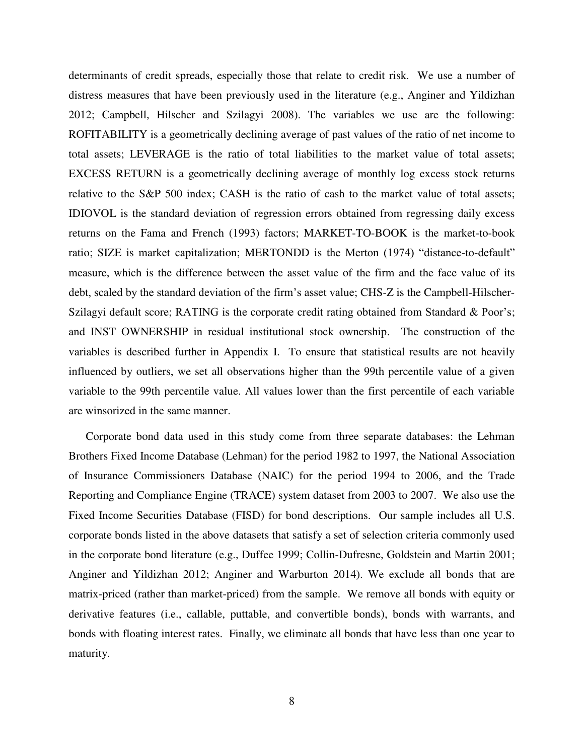determinants of credit spreads, especially those that relate to credit risk. We use a number of distress measures that have been previously used in the literature (e.g., Anginer and Yildizhan 2012; Campbell, Hilscher and Szilagyi 2008). The variables we use are the following: ROFITABILITY is a geometrically declining average of past values of the ratio of net income to total assets; LEVERAGE is the ratio of total liabilities to the market value of total assets; EXCESS RETURN is a geometrically declining average of monthly log excess stock returns relative to the S&P 500 index; CASH is the ratio of cash to the market value of total assets; IDIOVOL is the standard deviation of regression errors obtained from regressing daily excess returns on the Fama and French (1993) factors; MARKET-TO-BOOK is the market-to-book ratio; SIZE is market capitalization; MERTONDD is the Merton (1974) "distance-to-default" measure, which is the difference between the asset value of the firm and the face value of its debt, scaled by the standard deviation of the firm's asset value; CHS-Z is the Campbell-Hilscher-Szilagyi default score; RATING is the corporate credit rating obtained from Standard & Poor's; and INST OWNERSHIP in residual institutional stock ownership. The construction of the variables is described further in Appendix I. To ensure that statistical results are not heavily influenced by outliers, we set all observations higher than the 99th percentile value of a given variable to the 99th percentile value. All values lower than the first percentile of each variable are winsorized in the same manner.

Corporate bond data used in this study come from three separate databases: the Lehman Brothers Fixed Income Database (Lehman) for the period 1982 to 1997, the National Association of Insurance Commissioners Database (NAIC) for the period 1994 to 2006, and the Trade Reporting and Compliance Engine (TRACE) system dataset from 2003 to 2007. We also use the Fixed Income Securities Database (FISD) for bond descriptions. Our sample includes all U.S. corporate bonds listed in the above datasets that satisfy a set of selection criteria commonly used in the corporate bond literature (e.g., Duffee 1999; Collin-Dufresne, Goldstein and Martin 2001; Anginer and Yildizhan 2012; Anginer and Warburton 2014). We exclude all bonds that are matrix-priced (rather than market-priced) from the sample. We remove all bonds with equity or derivative features (i.e., callable, puttable, and convertible bonds), bonds with warrants, and bonds with floating interest rates. Finally, we eliminate all bonds that have less than one year to maturity.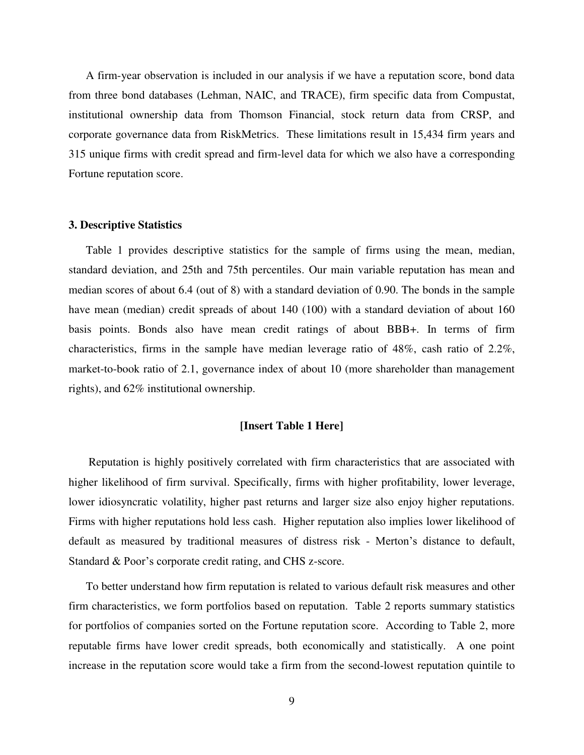A firm-year observation is included in our analysis if we have a reputation score, bond data from three bond databases (Lehman, NAIC, and TRACE), firm specific data from Compustat, institutional ownership data from Thomson Financial, stock return data from CRSP, and corporate governance data from RiskMetrics. These limitations result in 15,434 firm years and 315 unique firms with credit spread and firm-level data for which we also have a corresponding Fortune reputation score.

## **3. Descriptive Statistics**

Table 1 provides descriptive statistics for the sample of firms using the mean, median, standard deviation, and 25th and 75th percentiles. Our main variable reputation has mean and median scores of about 6.4 (out of 8) with a standard deviation of 0.90. The bonds in the sample have mean (median) credit spreads of about 140 (100) with a standard deviation of about 160 basis points. Bonds also have mean credit ratings of about BBB+. In terms of firm characteristics, firms in the sample have median leverage ratio of 48%, cash ratio of 2.2%, market-to-book ratio of 2.1, governance index of about 10 (more shareholder than management rights), and 62% institutional ownership.

## **[Insert Table 1 Here]**

 Reputation is highly positively correlated with firm characteristics that are associated with higher likelihood of firm survival. Specifically, firms with higher profitability, lower leverage, lower idiosyncratic volatility, higher past returns and larger size also enjoy higher reputations. Firms with higher reputations hold less cash. Higher reputation also implies lower likelihood of default as measured by traditional measures of distress risk - Merton's distance to default, Standard & Poor's corporate credit rating, and CHS z-score.

To better understand how firm reputation is related to various default risk measures and other firm characteristics, we form portfolios based on reputation. Table 2 reports summary statistics for portfolios of companies sorted on the Fortune reputation score. According to Table 2, more reputable firms have lower credit spreads, both economically and statistically. A one point increase in the reputation score would take a firm from the second-lowest reputation quintile to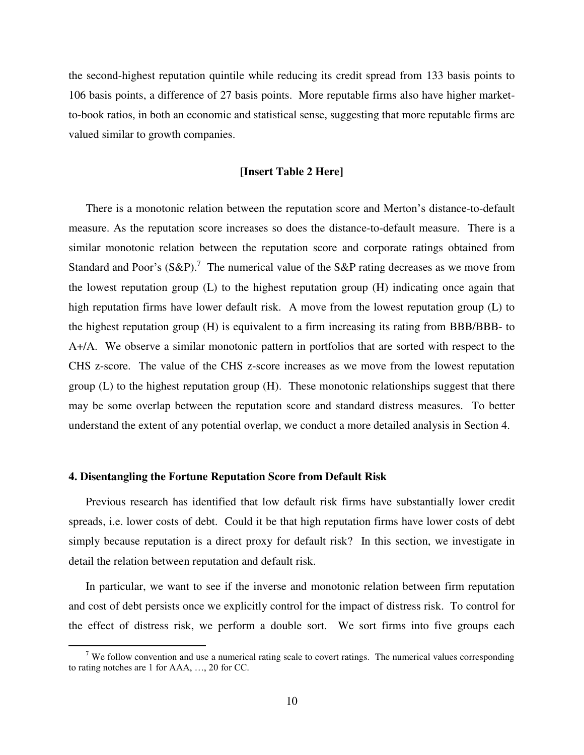the second-highest reputation quintile while reducing its credit spread from 133 basis points to 106 basis points, a difference of 27 basis points. More reputable firms also have higher marketto-book ratios, in both an economic and statistical sense, suggesting that more reputable firms are valued similar to growth companies.

#### **[Insert Table 2 Here]**

There is a monotonic relation between the reputation score and Merton's distance-to-default measure. As the reputation score increases so does the distance-to-default measure. There is a similar monotonic relation between the reputation score and corporate ratings obtained from Standard and Poor's  $(S\&P)$ .<sup>7</sup> The numerical value of the S&P rating decreases as we move from the lowest reputation group (L) to the highest reputation group (H) indicating once again that high reputation firms have lower default risk. A move from the lowest reputation group (L) to the highest reputation group (H) is equivalent to a firm increasing its rating from BBB/BBB- to A+/A. We observe a similar monotonic pattern in portfolios that are sorted with respect to the CHS z-score. The value of the CHS z-score increases as we move from the lowest reputation group (L) to the highest reputation group (H). These monotonic relationships suggest that there may be some overlap between the reputation score and standard distress measures. To better understand the extent of any potential overlap, we conduct a more detailed analysis in Section 4.

## **4. Disentangling the Fortune Reputation Score from Default Risk**

 $\overline{a}$ 

Previous research has identified that low default risk firms have substantially lower credit spreads, i.e. lower costs of debt. Could it be that high reputation firms have lower costs of debt simply because reputation is a direct proxy for default risk? In this section, we investigate in detail the relation between reputation and default risk.

In particular, we want to see if the inverse and monotonic relation between firm reputation and cost of debt persists once we explicitly control for the impact of distress risk. To control for the effect of distress risk, we perform a double sort. We sort firms into five groups each

 $7$  We follow convention and use a numerical rating scale to covert ratings. The numerical values corresponding to rating notches are 1 for AAA, …, 20 for CC.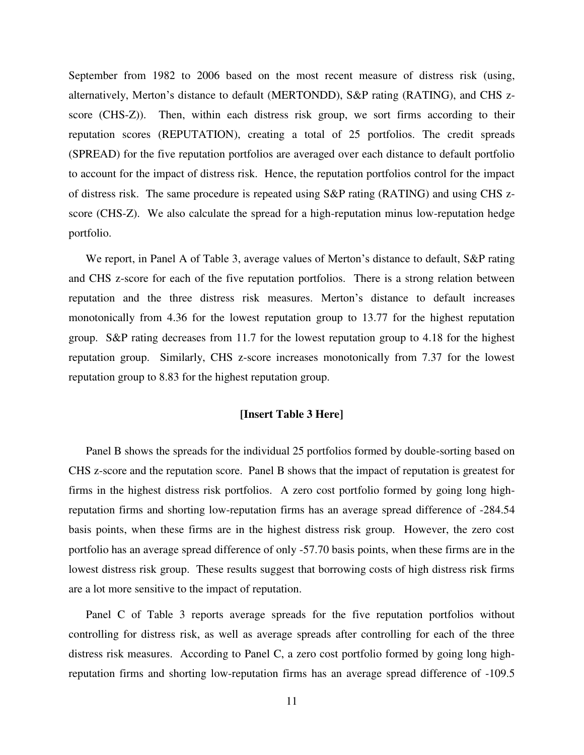September from 1982 to 2006 based on the most recent measure of distress risk (using, alternatively, Merton's distance to default (MERTONDD), S&P rating (RATING), and CHS zscore (CHS-Z)). Then, within each distress risk group, we sort firms according to their reputation scores (REPUTATION), creating a total of 25 portfolios. The credit spreads (SPREAD) for the five reputation portfolios are averaged over each distance to default portfolio to account for the impact of distress risk. Hence, the reputation portfolios control for the impact of distress risk. The same procedure is repeated using S&P rating (RATING) and using CHS zscore (CHS-Z). We also calculate the spread for a high-reputation minus low-reputation hedge portfolio.

We report, in Panel A of Table 3, average values of Merton's distance to default, S&P rating and CHS z-score for each of the five reputation portfolios. There is a strong relation between reputation and the three distress risk measures. Merton's distance to default increases monotonically from 4.36 for the lowest reputation group to 13.77 for the highest reputation group. S&P rating decreases from 11.7 for the lowest reputation group to 4.18 for the highest reputation group. Similarly, CHS z-score increases monotonically from 7.37 for the lowest reputation group to 8.83 for the highest reputation group.

# **[Insert Table 3 Here]**

Panel B shows the spreads for the individual 25 portfolios formed by double-sorting based on CHS z-score and the reputation score. Panel B shows that the impact of reputation is greatest for firms in the highest distress risk portfolios. A zero cost portfolio formed by going long highreputation firms and shorting low-reputation firms has an average spread difference of -284.54 basis points, when these firms are in the highest distress risk group. However, the zero cost portfolio has an average spread difference of only -57.70 basis points, when these firms are in the lowest distress risk group. These results suggest that borrowing costs of high distress risk firms are a lot more sensitive to the impact of reputation.

Panel C of Table 3 reports average spreads for the five reputation portfolios without controlling for distress risk, as well as average spreads after controlling for each of the three distress risk measures. According to Panel C, a zero cost portfolio formed by going long highreputation firms and shorting low-reputation firms has an average spread difference of -109.5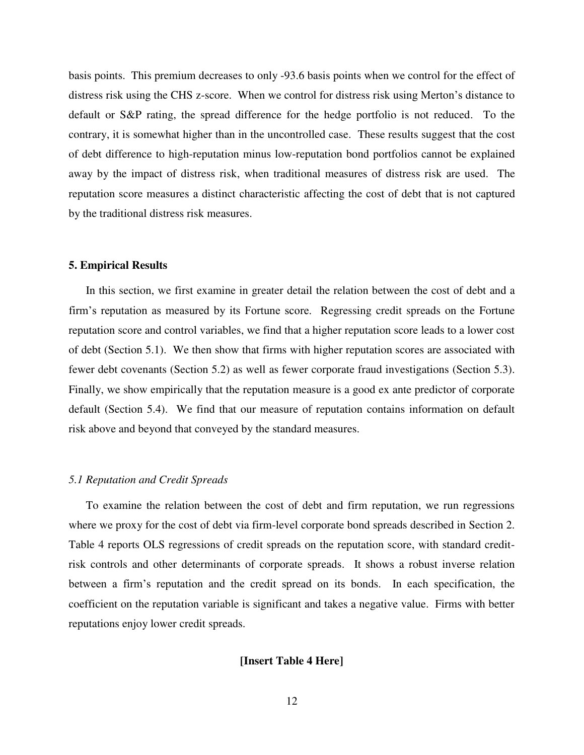basis points. This premium decreases to only -93.6 basis points when we control for the effect of distress risk using the CHS z-score. When we control for distress risk using Merton's distance to default or S&P rating, the spread difference for the hedge portfolio is not reduced. To the contrary, it is somewhat higher than in the uncontrolled case. These results suggest that the cost of debt difference to high-reputation minus low-reputation bond portfolios cannot be explained away by the impact of distress risk, when traditional measures of distress risk are used. The reputation score measures a distinct characteristic affecting the cost of debt that is not captured by the traditional distress risk measures.

#### **5. Empirical Results**

In this section, we first examine in greater detail the relation between the cost of debt and a firm's reputation as measured by its Fortune score. Regressing credit spreads on the Fortune reputation score and control variables, we find that a higher reputation score leads to a lower cost of debt (Section 5.1). We then show that firms with higher reputation scores are associated with fewer debt covenants (Section 5.2) as well as fewer corporate fraud investigations (Section 5.3). Finally, we show empirically that the reputation measure is a good ex ante predictor of corporate default (Section 5.4). We find that our measure of reputation contains information on default risk above and beyond that conveyed by the standard measures.

#### *5.1 Reputation and Credit Spreads*

To examine the relation between the cost of debt and firm reputation, we run regressions where we proxy for the cost of debt via firm-level corporate bond spreads described in Section 2. Table 4 reports OLS regressions of credit spreads on the reputation score, with standard creditrisk controls and other determinants of corporate spreads. It shows a robust inverse relation between a firm's reputation and the credit spread on its bonds. In each specification, the coefficient on the reputation variable is significant and takes a negative value. Firms with better reputations enjoy lower credit spreads.

# **[Insert Table 4 Here]**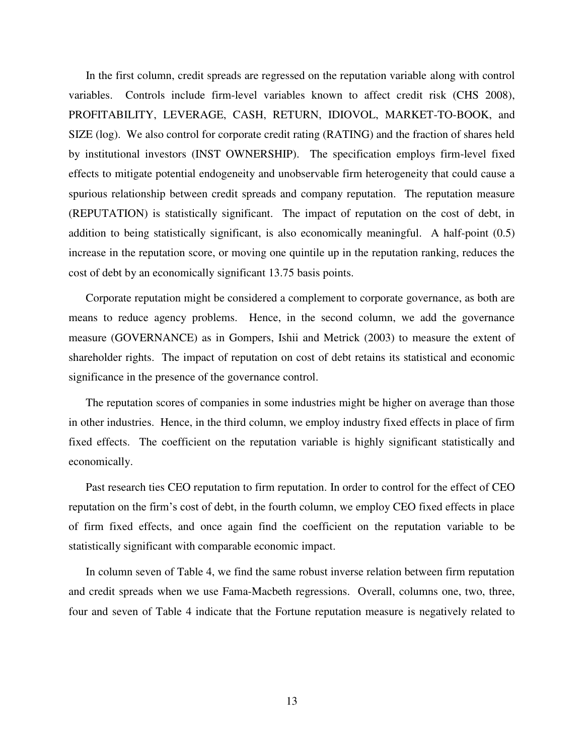In the first column, credit spreads are regressed on the reputation variable along with control variables. Controls include firm-level variables known to affect credit risk (CHS 2008), PROFITABILITY, LEVERAGE, CASH, RETURN, IDIOVOL, MARKET-TO-BOOK, and SIZE (log). We also control for corporate credit rating (RATING) and the fraction of shares held by institutional investors (INST OWNERSHIP). The specification employs firm-level fixed effects to mitigate potential endogeneity and unobservable firm heterogeneity that could cause a spurious relationship between credit spreads and company reputation. The reputation measure (REPUTATION) is statistically significant. The impact of reputation on the cost of debt, in addition to being statistically significant, is also economically meaningful. A half-point (0.5) increase in the reputation score, or moving one quintile up in the reputation ranking, reduces the cost of debt by an economically significant 13.75 basis points.

Corporate reputation might be considered a complement to corporate governance, as both are means to reduce agency problems. Hence, in the second column, we add the governance measure (GOVERNANCE) as in Gompers, Ishii and Metrick (2003) to measure the extent of shareholder rights. The impact of reputation on cost of debt retains its statistical and economic significance in the presence of the governance control.

The reputation scores of companies in some industries might be higher on average than those in other industries. Hence, in the third column, we employ industry fixed effects in place of firm fixed effects. The coefficient on the reputation variable is highly significant statistically and economically.

Past research ties CEO reputation to firm reputation. In order to control for the effect of CEO reputation on the firm's cost of debt, in the fourth column, we employ CEO fixed effects in place of firm fixed effects, and once again find the coefficient on the reputation variable to be statistically significant with comparable economic impact.

In column seven of Table 4, we find the same robust inverse relation between firm reputation and credit spreads when we use Fama-Macbeth regressions. Overall, columns one, two, three, four and seven of Table 4 indicate that the Fortune reputation measure is negatively related to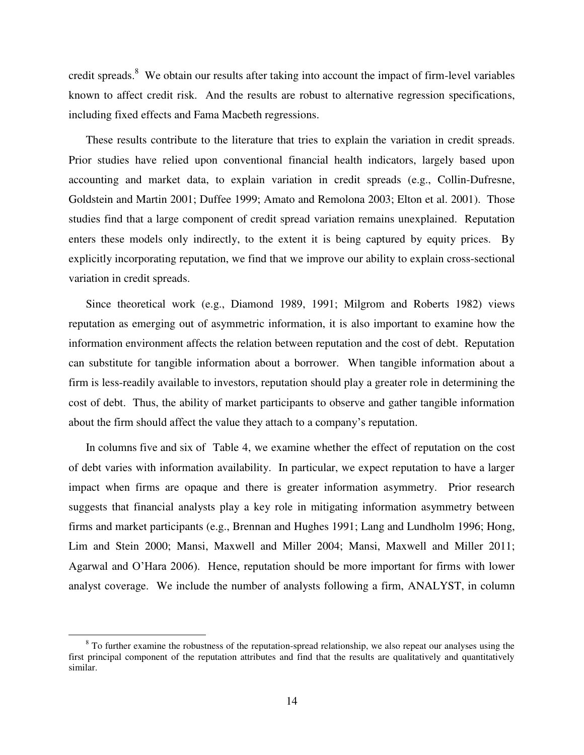credit spreads.<sup>8</sup> We obtain our results after taking into account the impact of firm-level variables known to affect credit risk. And the results are robust to alternative regression specifications, including fixed effects and Fama Macbeth regressions.

These results contribute to the literature that tries to explain the variation in credit spreads. Prior studies have relied upon conventional financial health indicators, largely based upon accounting and market data, to explain variation in credit spreads (e.g., Collin-Dufresne, Goldstein and Martin 2001; Duffee 1999; Amato and Remolona 2003; Elton et al. 2001). Those studies find that a large component of credit spread variation remains unexplained. Reputation enters these models only indirectly, to the extent it is being captured by equity prices. By explicitly incorporating reputation, we find that we improve our ability to explain cross-sectional variation in credit spreads.

Since theoretical work (e.g., Diamond 1989, 1991; Milgrom and Roberts 1982) views reputation as emerging out of asymmetric information, it is also important to examine how the information environment affects the relation between reputation and the cost of debt. Reputation can substitute for tangible information about a borrower. When tangible information about a firm is less-readily available to investors, reputation should play a greater role in determining the cost of debt. Thus, the ability of market participants to observe and gather tangible information about the firm should affect the value they attach to a company's reputation.

In columns five and six of Table 4, we examine whether the effect of reputation on the cost of debt varies with information availability. In particular, we expect reputation to have a larger impact when firms are opaque and there is greater information asymmetry. Prior research suggests that financial analysts play a key role in mitigating information asymmetry between firms and market participants (e.g., Brennan and Hughes 1991; Lang and Lundholm 1996; Hong, Lim and Stein 2000; Mansi, Maxwell and Miller 2004; Mansi, Maxwell and Miller 2011; Agarwal and O'Hara 2006). Hence, reputation should be more important for firms with lower analyst coverage. We include the number of analysts following a firm, ANALYST, in column

 $\overline{a}$ 

 $8<sup>8</sup>$  To further examine the robustness of the reputation-spread relationship, we also repeat our analyses using the first principal component of the reputation attributes and find that the results are qualitatively and quantitatively similar.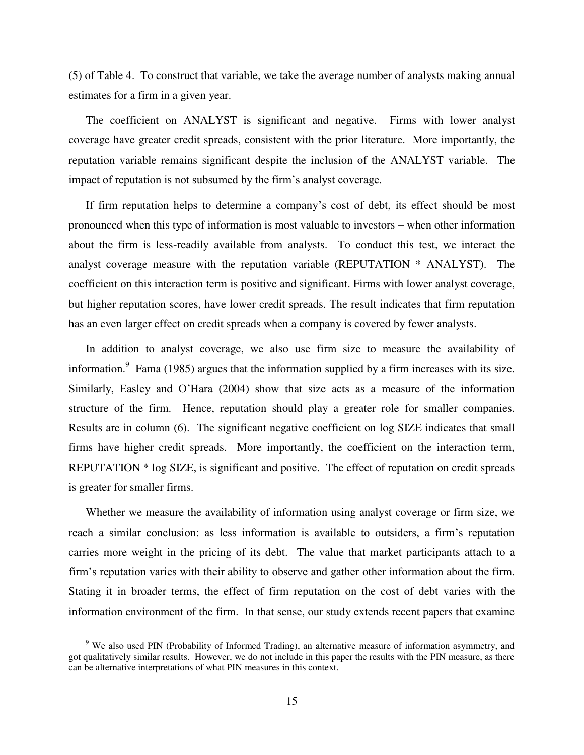(5) of Table 4. To construct that variable, we take the average number of analysts making annual estimates for a firm in a given year.

The coefficient on ANALYST is significant and negative. Firms with lower analyst coverage have greater credit spreads, consistent with the prior literature. More importantly, the reputation variable remains significant despite the inclusion of the ANALYST variable. The impact of reputation is not subsumed by the firm's analyst coverage.

If firm reputation helps to determine a company's cost of debt, its effect should be most pronounced when this type of information is most valuable to investors – when other information about the firm is less-readily available from analysts. To conduct this test, we interact the analyst coverage measure with the reputation variable (REPUTATION \* ANALYST). The coefficient on this interaction term is positive and significant. Firms with lower analyst coverage, but higher reputation scores, have lower credit spreads. The result indicates that firm reputation has an even larger effect on credit spreads when a company is covered by fewer analysts.

In addition to analyst coverage, we also use firm size to measure the availability of information.<sup>9</sup> Fama (1985) argues that the information supplied by a firm increases with its size. Similarly, Easley and O'Hara (2004) show that size acts as a measure of the information structure of the firm. Hence, reputation should play a greater role for smaller companies. Results are in column (6). The significant negative coefficient on log SIZE indicates that small firms have higher credit spreads. More importantly, the coefficient on the interaction term, REPUTATION \* log SIZE, is significant and positive. The effect of reputation on credit spreads is greater for smaller firms.

Whether we measure the availability of information using analyst coverage or firm size, we reach a similar conclusion: as less information is available to outsiders, a firm's reputation carries more weight in the pricing of its debt. The value that market participants attach to a firm's reputation varies with their ability to observe and gather other information about the firm. Stating it in broader terms, the effect of firm reputation on the cost of debt varies with the information environment of the firm. In that sense, our study extends recent papers that examine

 $\overline{a}$ 

<sup>&</sup>lt;sup>9</sup> We also used PIN (Probability of Informed Trading), an alternative measure of information asymmetry, and got qualitatively similar results. However, we do not include in this paper the results with the PIN measure, as there can be alternative interpretations of what PIN measures in this context.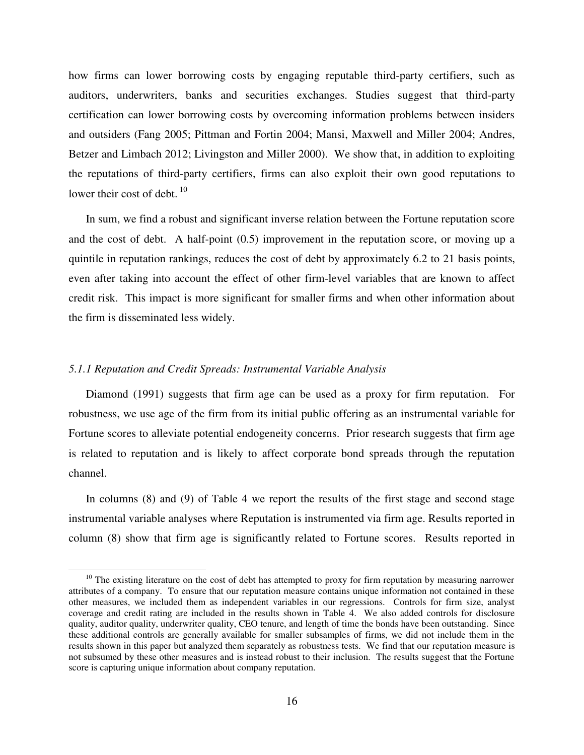how firms can lower borrowing costs by engaging reputable third-party certifiers, such as auditors, underwriters, banks and securities exchanges. Studies suggest that third-party certification can lower borrowing costs by overcoming information problems between insiders and outsiders (Fang 2005; Pittman and Fortin 2004; Mansi, Maxwell and Miller 2004; Andres, Betzer and Limbach 2012; Livingston and Miller 2000). We show that, in addition to exploiting the reputations of third-party certifiers, firms can also exploit their own good reputations to lower their cost of debt.  $10<sup>10</sup>$ 

In sum, we find a robust and significant inverse relation between the Fortune reputation score and the cost of debt. A half-point (0.5) improvement in the reputation score, or moving up a quintile in reputation rankings, reduces the cost of debt by approximately 6.2 to 21 basis points, even after taking into account the effect of other firm-level variables that are known to affect credit risk. This impact is more significant for smaller firms and when other information about the firm is disseminated less widely.

# *5.1.1 Reputation and Credit Spreads: Instrumental Variable Analysis*

 $\overline{a}$ 

Diamond (1991) suggests that firm age can be used as a proxy for firm reputation. For robustness, we use age of the firm from its initial public offering as an instrumental variable for Fortune scores to alleviate potential endogeneity concerns. Prior research suggests that firm age is related to reputation and is likely to affect corporate bond spreads through the reputation channel.

In columns (8) and (9) of Table 4 we report the results of the first stage and second stage instrumental variable analyses where Reputation is instrumented via firm age. Results reported in column (8) show that firm age is significantly related to Fortune scores. Results reported in

<sup>&</sup>lt;sup>10</sup> The existing literature on the cost of debt has attempted to proxy for firm reputation by measuring narrower attributes of a company. To ensure that our reputation measure contains unique information not contained in these other measures, we included them as independent variables in our regressions. Controls for firm size, analyst coverage and credit rating are included in the results shown in Table 4. We also added controls for disclosure quality, auditor quality, underwriter quality, CEO tenure, and length of time the bonds have been outstanding. Since these additional controls are generally available for smaller subsamples of firms, we did not include them in the results shown in this paper but analyzed them separately as robustness tests. We find that our reputation measure is not subsumed by these other measures and is instead robust to their inclusion. The results suggest that the Fortune score is capturing unique information about company reputation.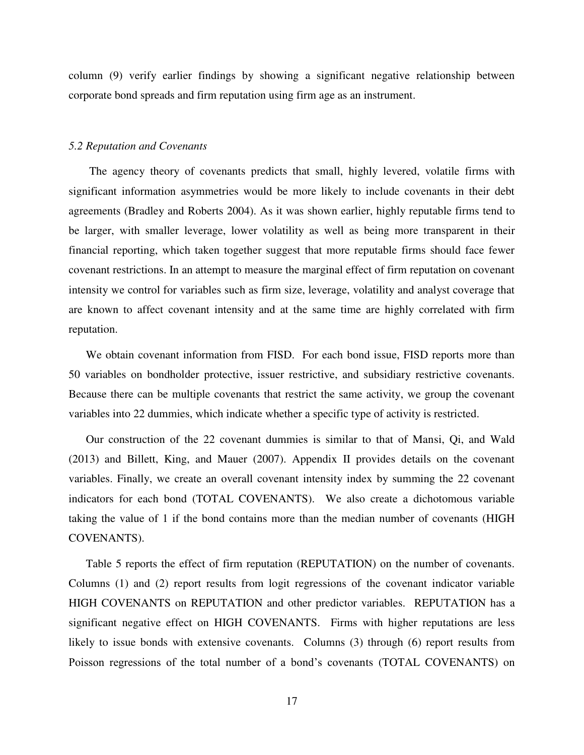column (9) verify earlier findings by showing a significant negative relationship between corporate bond spreads and firm reputation using firm age as an instrument.

#### *5.2 Reputation and Covenants*

 The agency theory of covenants predicts that small, highly levered, volatile firms with significant information asymmetries would be more likely to include covenants in their debt agreements (Bradley and Roberts 2004). As it was shown earlier, highly reputable firms tend to be larger, with smaller leverage, lower volatility as well as being more transparent in their financial reporting, which taken together suggest that more reputable firms should face fewer covenant restrictions. In an attempt to measure the marginal effect of firm reputation on covenant intensity we control for variables such as firm size, leverage, volatility and analyst coverage that are known to affect covenant intensity and at the same time are highly correlated with firm reputation.

We obtain covenant information from FISD. For each bond issue, FISD reports more than 50 variables on bondholder protective, issuer restrictive, and subsidiary restrictive covenants. Because there can be multiple covenants that restrict the same activity, we group the covenant variables into 22 dummies, which indicate whether a specific type of activity is restricted.

Our construction of the 22 covenant dummies is similar to that of Mansi, Qi, and Wald (2013) and Billett, King, and Mauer (2007). Appendix II provides details on the covenant variables. Finally, we create an overall covenant intensity index by summing the 22 covenant indicators for each bond (TOTAL COVENANTS). We also create a dichotomous variable taking the value of 1 if the bond contains more than the median number of covenants (HIGH COVENANTS).

Table 5 reports the effect of firm reputation (REPUTATION) on the number of covenants. Columns (1) and (2) report results from logit regressions of the covenant indicator variable HIGH COVENANTS on REPUTATION and other predictor variables. REPUTATION has a significant negative effect on HIGH COVENANTS. Firms with higher reputations are less likely to issue bonds with extensive covenants. Columns (3) through (6) report results from Poisson regressions of the total number of a bond's covenants (TOTAL COVENANTS) on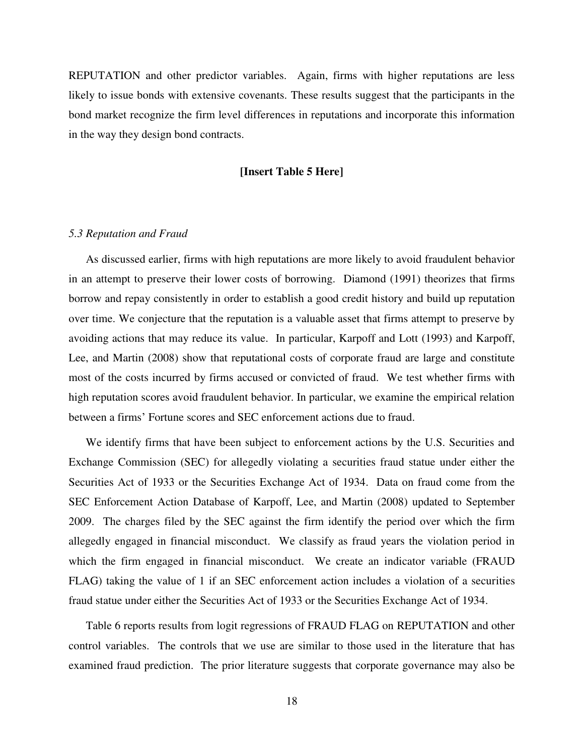REPUTATION and other predictor variables. Again, firms with higher reputations are less likely to issue bonds with extensive covenants. These results suggest that the participants in the bond market recognize the firm level differences in reputations and incorporate this information in the way they design bond contracts.

#### **[Insert Table 5 Here]**

#### *5.3 Reputation and Fraud*

As discussed earlier, firms with high reputations are more likely to avoid fraudulent behavior in an attempt to preserve their lower costs of borrowing. Diamond (1991) theorizes that firms borrow and repay consistently in order to establish a good credit history and build up reputation over time. We conjecture that the reputation is a valuable asset that firms attempt to preserve by avoiding actions that may reduce its value. In particular, Karpoff and Lott (1993) and Karpoff, Lee, and Martin (2008) show that reputational costs of corporate fraud are large and constitute most of the costs incurred by firms accused or convicted of fraud. We test whether firms with high reputation scores avoid fraudulent behavior. In particular, we examine the empirical relation between a firms' Fortune scores and SEC enforcement actions due to fraud.

We identify firms that have been subject to enforcement actions by the U.S. Securities and Exchange Commission (SEC) for allegedly violating a securities fraud statue under either the Securities Act of 1933 or the Securities Exchange Act of 1934. Data on fraud come from the SEC Enforcement Action Database of Karpoff, Lee, and Martin (2008) updated to September 2009. The charges filed by the SEC against the firm identify the period over which the firm allegedly engaged in financial misconduct. We classify as fraud years the violation period in which the firm engaged in financial misconduct. We create an indicator variable (FRAUD FLAG) taking the value of 1 if an SEC enforcement action includes a violation of a securities fraud statue under either the Securities Act of 1933 or the Securities Exchange Act of 1934.

Table 6 reports results from logit regressions of FRAUD FLAG on REPUTATION and other control variables. The controls that we use are similar to those used in the literature that has examined fraud prediction. The prior literature suggests that corporate governance may also be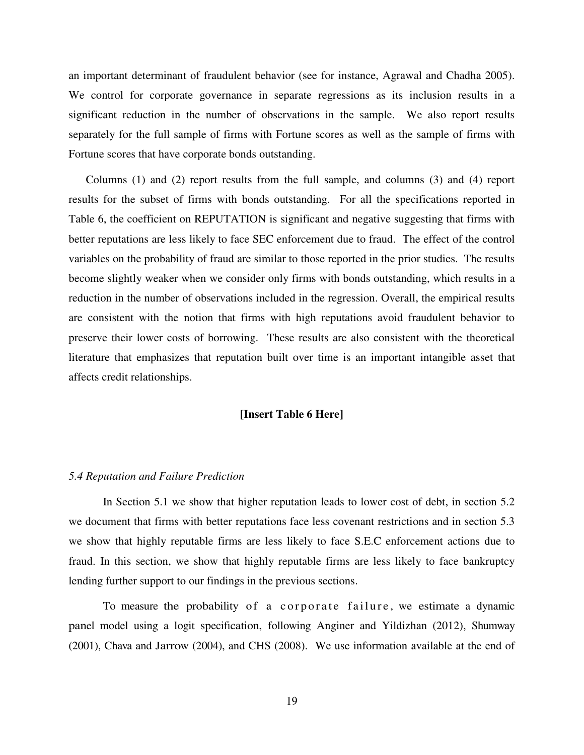an important determinant of fraudulent behavior (see for instance, Agrawal and Chadha 2005). We control for corporate governance in separate regressions as its inclusion results in a significant reduction in the number of observations in the sample. We also report results separately for the full sample of firms with Fortune scores as well as the sample of firms with Fortune scores that have corporate bonds outstanding.

Columns (1) and (2) report results from the full sample, and columns (3) and (4) report results for the subset of firms with bonds outstanding. For all the specifications reported in Table 6, the coefficient on REPUTATION is significant and negative suggesting that firms with better reputations are less likely to face SEC enforcement due to fraud. The effect of the control variables on the probability of fraud are similar to those reported in the prior studies. The results become slightly weaker when we consider only firms with bonds outstanding, which results in a reduction in the number of observations included in the regression. Overall, the empirical results are consistent with the notion that firms with high reputations avoid fraudulent behavior to preserve their lower costs of borrowing. These results are also consistent with the theoretical literature that emphasizes that reputation built over time is an important intangible asset that affects credit relationships.

## **[Insert Table 6 Here]**

#### *5.4 Reputation and Failure Prediction*

In Section 5.1 we show that higher reputation leads to lower cost of debt, in section 5.2 we document that firms with better reputations face less covenant restrictions and in section 5.3 we show that highly reputable firms are less likely to face S.E.C enforcement actions due to fraud. In this section, we show that highly reputable firms are less likely to face bankruptcy lending further support to our findings in the previous sections.

To measure the probability of a corporate failure, we estimate a dynamic panel model using a logit specification, following Anginer and Yildizhan (2012), Shumway (2001), Chava and Jarrow (2004), and CHS (2008). We use information available at the end of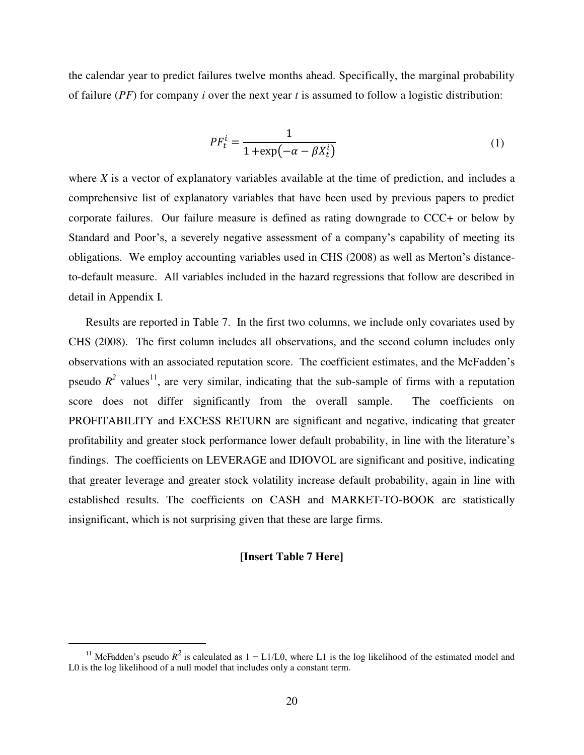the calendar year to predict failures twelve months ahead. Specifically, the marginal probability of failure (*PF*) for company *i* over the next year *t* is assumed to follow a logistic distribution:

$$
PF_t^i = \frac{1}{1 + \exp(-\alpha - \beta X_t^i)}
$$
(1)

where *X* is a vector of explanatory variables available at the time of prediction, and includes a comprehensive list of explanatory variables that have been used by previous papers to predict corporate failures. Our failure measure is defined as rating downgrade to CCC+ or below by Standard and Poor's, a severely negative assessment of a company's capability of meeting its obligations. We employ accounting variables used in CHS (2008) as well as Merton's distanceto-default measure. All variables included in the hazard regressions that follow are described in detail in Appendix I.

Results are reported in Table 7. In the first two columns, we include only covariates used by CHS (2008). The first column includes all observations, and the second column includes only observations with an associated reputation score. The coefficient estimates, and the McFadden's pseudo  $R^2$  values<sup>11</sup>, are very similar, indicating that the sub-sample of firms with a reputation score does not differ significantly from the overall sample. The coefficients on PROFITABILITY and EXCESS RETURN are significant and negative, indicating that greater profitability and greater stock performance lower default probability, in line with the literature's findings. The coefficients on LEVERAGE and IDIOVOL are significant and positive, indicating that greater leverage and greater stock volatility increase default probability, again in line with established results. The coefficients on CASH and MARKET-TO-BOOK are statistically insignificant, which is not surprising given that these are large firms.

## **[Insert Table 7 Here]**

 $\overline{a}$ 

<sup>&</sup>lt;sup>11</sup> McFadden's pseudo  $R^2$  is calculated as  $1 - L1/L0$ , where L1 is the log likelihood of the estimated model and L0 is the log likelihood of a null model that includes only a constant term.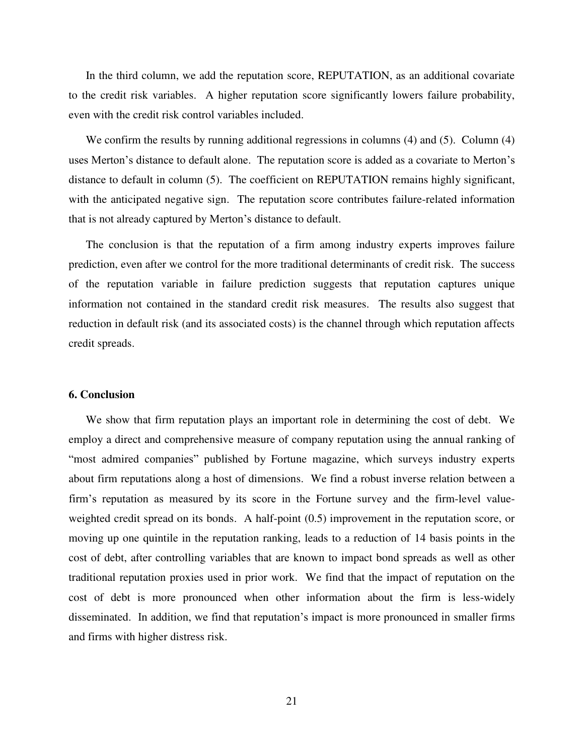In the third column, we add the reputation score, REPUTATION, as an additional covariate to the credit risk variables. A higher reputation score significantly lowers failure probability, even with the credit risk control variables included.

We confirm the results by running additional regressions in columns (4) and (5). Column (4) uses Merton's distance to default alone. The reputation score is added as a covariate to Merton's distance to default in column (5). The coefficient on REPUTATION remains highly significant, with the anticipated negative sign. The reputation score contributes failure-related information that is not already captured by Merton's distance to default.

The conclusion is that the reputation of a firm among industry experts improves failure prediction, even after we control for the more traditional determinants of credit risk. The success of the reputation variable in failure prediction suggests that reputation captures unique information not contained in the standard credit risk measures. The results also suggest that reduction in default risk (and its associated costs) is the channel through which reputation affects credit spreads.

## **6. Conclusion**

We show that firm reputation plays an important role in determining the cost of debt. We employ a direct and comprehensive measure of company reputation using the annual ranking of "most admired companies" published by Fortune magazine, which surveys industry experts about firm reputations along a host of dimensions. We find a robust inverse relation between a firm's reputation as measured by its score in the Fortune survey and the firm-level valueweighted credit spread on its bonds. A half-point (0.5) improvement in the reputation score, or moving up one quintile in the reputation ranking, leads to a reduction of 14 basis points in the cost of debt, after controlling variables that are known to impact bond spreads as well as other traditional reputation proxies used in prior work. We find that the impact of reputation on the cost of debt is more pronounced when other information about the firm is less-widely disseminated. In addition, we find that reputation's impact is more pronounced in smaller firms and firms with higher distress risk.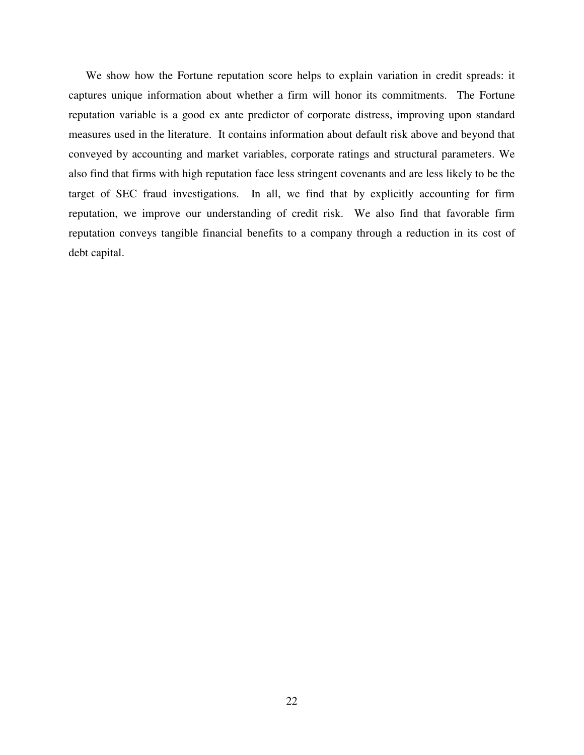We show how the Fortune reputation score helps to explain variation in credit spreads: it captures unique information about whether a firm will honor its commitments. The Fortune reputation variable is a good ex ante predictor of corporate distress, improving upon standard measures used in the literature. It contains information about default risk above and beyond that conveyed by accounting and market variables, corporate ratings and structural parameters. We also find that firms with high reputation face less stringent covenants and are less likely to be the target of SEC fraud investigations. In all, we find that by explicitly accounting for firm reputation, we improve our understanding of credit risk. We also find that favorable firm reputation conveys tangible financial benefits to a company through a reduction in its cost of debt capital.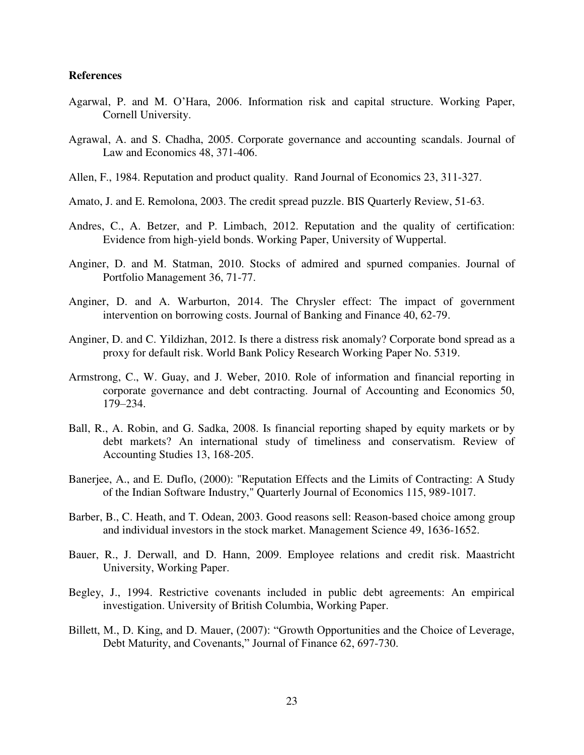## **References**

- Agarwal, P. and M. O'Hara, 2006. Information risk and capital structure. Working Paper, Cornell University.
- Agrawal, A. and S. Chadha, 2005. Corporate governance and accounting scandals. Journal of Law and Economics 48, 371-406.
- Allen, F., 1984. Reputation and product quality. Rand Journal of Economics 23, 311-327.
- Amato, J. and E. Remolona, 2003. The credit spread puzzle. BIS Quarterly Review, 51-63.
- Andres, C., A. Betzer, and P. Limbach, 2012. Reputation and the quality of certification: Evidence from high-yield bonds. Working Paper, University of Wuppertal.
- Anginer, D. and M. Statman, 2010. Stocks of admired and spurned companies. Journal of Portfolio Management 36, 71-77.
- Anginer, D. and A. Warburton, 2014. The Chrysler effect: The impact of government intervention on borrowing costs. Journal of Banking and Finance 40, 62-79.
- Anginer, D. and C. Yildizhan, 2012. Is there a distress risk anomaly? Corporate bond spread as a proxy for default risk. World Bank Policy Research Working Paper No. 5319.
- Armstrong, C., W. Guay, and J. Weber, 2010. Role of information and financial reporting in corporate governance and debt contracting. Journal of Accounting and Economics 50, 179–234.
- Ball, R., A. Robin, and G. Sadka, 2008. Is financial reporting shaped by equity markets or by debt markets? An international study of timeliness and conservatism. Review of Accounting Studies 13, 168-205.
- Banerjee, A., and E. Duflo, (2000): "Reputation Effects and the Limits of Contracting: A Study of the Indian Software Industry," Quarterly Journal of Economics 115, 989-1017.
- Barber, B., C. Heath, and T. Odean, 2003. Good reasons sell: Reason-based choice among group and individual investors in the stock market. Management Science 49, 1636-1652.
- Bauer, R., J. Derwall, and D. Hann, 2009. Employee relations and credit risk. Maastricht University, Working Paper.
- Begley, J., 1994. Restrictive covenants included in public debt agreements: An empirical investigation. University of British Columbia, Working Paper.
- Billett, M., D. King, and D. Mauer, (2007): "Growth Opportunities and the Choice of Leverage, Debt Maturity, and Covenants," Journal of Finance 62, 697-730.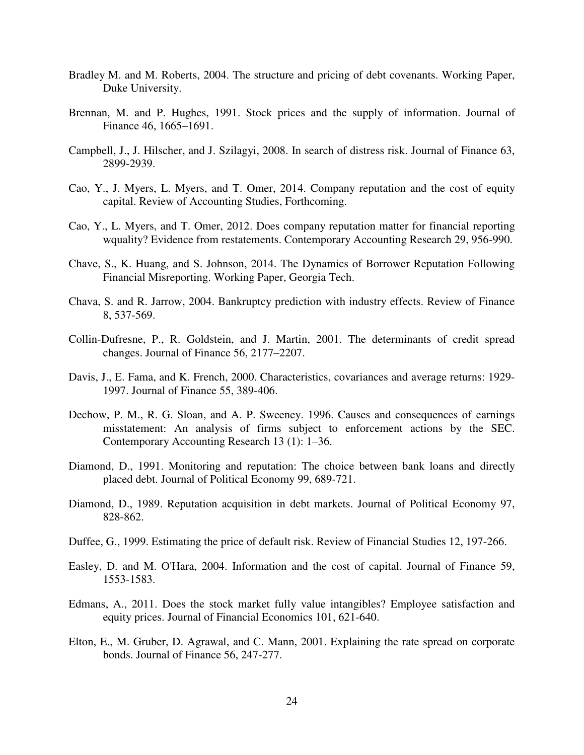- Bradley M. and M. Roberts, 2004. The structure and pricing of debt covenants. Working Paper, Duke University.
- Brennan, M. and P. Hughes, 1991. Stock prices and the supply of information. Journal of Finance 46, 1665–1691.
- Campbell, J., J. Hilscher, and J. Szilagyi, 2008. In search of distress risk. Journal of Finance 63, 2899-2939.
- Cao, Y., J. Myers, L. Myers, and T. Omer, 2014. Company reputation and the cost of equity capital. Review of Accounting Studies, Forthcoming.
- Cao, Y., L. Myers, and T. Omer, 2012. Does company reputation matter for financial reporting wquality? Evidence from restatements. Contemporary Accounting Research 29, 956-990.
- Chave, S., K. Huang, and S. Johnson, 2014. The Dynamics of Borrower Reputation Following Financial Misreporting. Working Paper, Georgia Tech.
- Chava, S. and R. Jarrow, 2004. Bankruptcy prediction with industry effects. Review of Finance 8, 537-569.
- Collin-Dufresne, P., R. Goldstein, and J. Martin, 2001. The determinants of credit spread changes. Journal of Finance 56, 2177–2207.
- Davis, J., E. Fama, and K. French, 2000. Characteristics, covariances and average returns: 1929- 1997. Journal of Finance 55, 389-406.
- Dechow, P. M., R. G. Sloan, and A. P. Sweeney. 1996. Causes and consequences of earnings misstatement: An analysis of firms subject to enforcement actions by the SEC. Contemporary Accounting Research 13 (1): 1–36.
- Diamond, D., 1991. Monitoring and reputation: The choice between bank loans and directly placed debt. Journal of Political Economy 99, 689-721.
- Diamond, D., 1989. Reputation acquisition in debt markets. Journal of Political Economy 97, 828-862.
- Duffee, G., 1999. Estimating the price of default risk. Review of Financial Studies 12, 197-266.
- Easley, D. and M. O'Hara, 2004. Information and the cost of capital. Journal of Finance 59, 1553-1583.
- Edmans, A., 2011. Does the stock market fully value intangibles? Employee satisfaction and equity prices. Journal of Financial Economics 101, 621-640.
- Elton, E., M. Gruber, D. Agrawal, and C. Mann, 2001. Explaining the rate spread on corporate bonds. Journal of Finance 56, 247-277.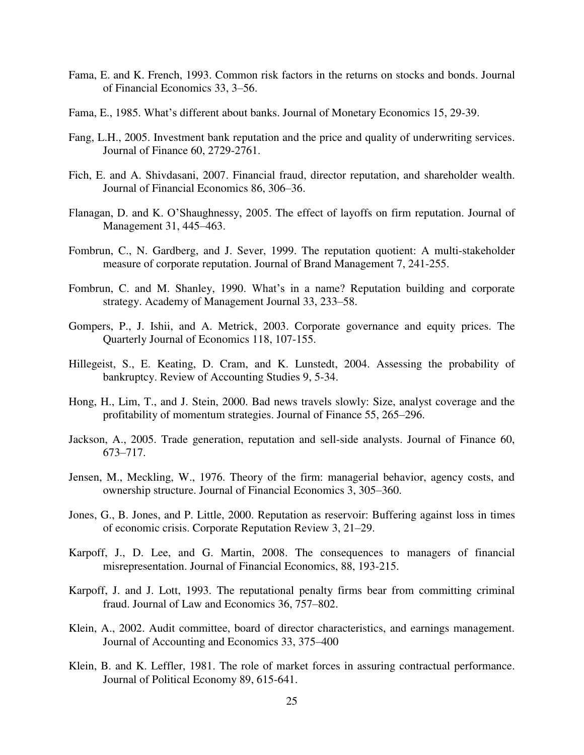- Fama, E. and K. French, 1993. Common risk factors in the returns on stocks and bonds. Journal of Financial Economics 33, 3–56.
- Fama, E., 1985. What's different about banks. Journal of Monetary Economics 15, 29-39.
- Fang, L.H., 2005. Investment bank reputation and the price and quality of underwriting services. Journal of Finance 60, 2729-2761.
- Fich, E. and A. Shivdasani, 2007. Financial fraud, director reputation, and shareholder wealth. Journal of Financial Economics 86, 306–36.
- Flanagan, D. and K. O'Shaughnessy, 2005. The effect of layoffs on firm reputation. Journal of Management 31, 445–463.
- Fombrun, C., N. Gardberg, and J. Sever, 1999. The reputation quotient: A multi-stakeholder measure of corporate reputation. Journal of Brand Management 7, 241-255.
- Fombrun, C. and M. Shanley, 1990. What's in a name? Reputation building and corporate strategy. Academy of Management Journal 33, 233–58.
- Gompers, P., J. Ishii, and A. Metrick, 2003. Corporate governance and equity prices. The Quarterly Journal of Economics 118, 107-155.
- Hillegeist, S., E. Keating, D. Cram, and K. Lunstedt, 2004. Assessing the probability of bankruptcy. Review of Accounting Studies 9, 5-34.
- Hong, H., Lim, T., and J. Stein, 2000. Bad news travels slowly: Size, analyst coverage and the profitability of momentum strategies. Journal of Finance 55, 265–296.
- Jackson, A., 2005. Trade generation, reputation and sell-side analysts. Journal of Finance 60, 673–717.
- Jensen, M., Meckling, W., 1976. Theory of the firm: managerial behavior, agency costs, and ownership structure. Journal of Financial Economics 3, 305–360.
- Jones, G., B. Jones, and P. Little, 2000. Reputation as reservoir: Buffering against loss in times of economic crisis. Corporate Reputation Review 3, 21–29.
- Karpoff, J., D. Lee, and G. Martin, 2008. The consequences to managers of financial misrepresentation. Journal of Financial Economics, 88, 193-215.
- Karpoff, J. and J. Lott, 1993. The reputational penalty firms bear from committing criminal fraud. Journal of Law and Economics 36, 757–802.
- Klein, A., 2002. Audit committee, board of director characteristics, and earnings management. Journal of Accounting and Economics 33, 375–400
- Klein, B. and K. Leffler, 1981. The role of market forces in assuring contractual performance. Journal of Political Economy 89, 615-641.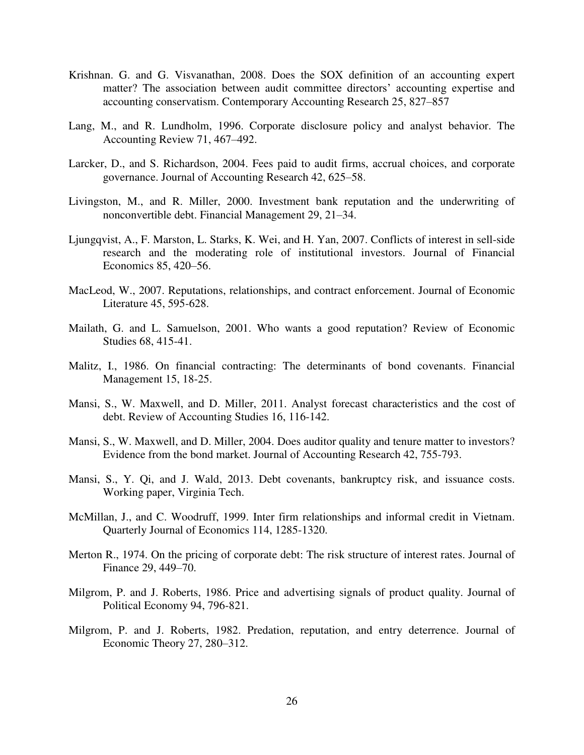- Krishnan. G. and G. Visvanathan, 2008. Does the SOX definition of an accounting expert matter? The association between audit committee directors' accounting expertise and accounting conservatism. Contemporary Accounting Research 25, 827–857
- Lang, M., and R. Lundholm, 1996. Corporate disclosure policy and analyst behavior. The Accounting Review 71, 467–492.
- Larcker, D., and S. Richardson, 2004. Fees paid to audit firms, accrual choices, and corporate governance. Journal of Accounting Research 42, 625–58.
- Livingston, M., and R. Miller, 2000. Investment bank reputation and the underwriting of nonconvertible debt. Financial Management 29, 21–34.
- Ljungqvist, A., F. Marston, L. Starks, K. Wei, and H. Yan, 2007. Conflicts of interest in sell-side research and the moderating role of institutional investors. Journal of Financial Economics 85, 420–56.
- MacLeod, W., 2007. Reputations, relationships, and contract enforcement. Journal of Economic Literature 45, 595-628.
- Mailath, G. and L. Samuelson, 2001. Who wants a good reputation? Review of Economic Studies 68, 415-41.
- Malitz, I., 1986. On financial contracting: The determinants of bond covenants. Financial Management 15, 18-25.
- Mansi, S., W. Maxwell, and D. Miller, 2011. Analyst forecast characteristics and the cost of debt. Review of Accounting Studies 16, 116-142.
- Mansi, S., W. Maxwell, and D. Miller, 2004. Does auditor quality and tenure matter to investors? Evidence from the bond market. Journal of Accounting Research 42, 755-793.
- Mansi, S., Y. Qi, and J. Wald, 2013. Debt covenants, bankruptcy risk, and issuance costs. Working paper, Virginia Tech.
- McMillan, J., and C. Woodruff, 1999. Inter firm relationships and informal credit in Vietnam. Quarterly Journal of Economics 114, 1285-1320.
- Merton R., 1974. On the pricing of corporate debt: The risk structure of interest rates. Journal of Finance 29, 449–70.
- Milgrom, P. and J. Roberts, 1986. Price and advertising signals of product quality. Journal of Political Economy 94, 796-821.
- Milgrom, P. and J. Roberts, 1982. Predation, reputation, and entry deterrence. Journal of Economic Theory 27, 280–312.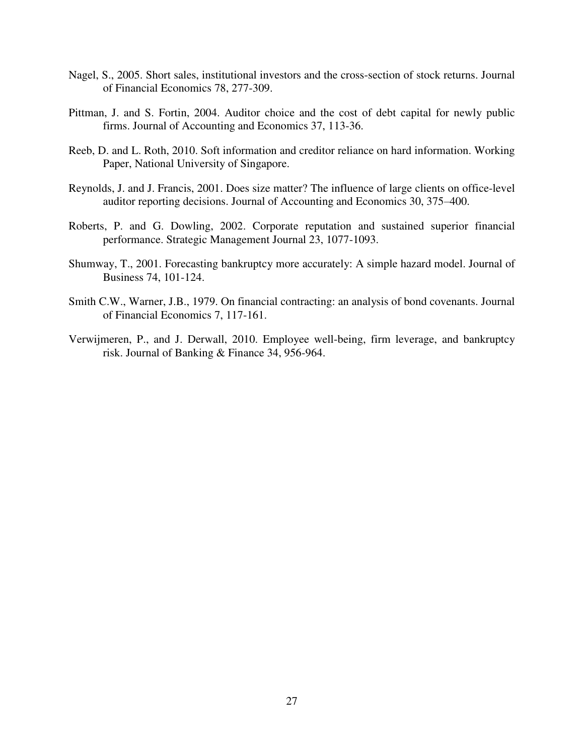- Nagel, S., 2005. Short sales, institutional investors and the cross-section of stock returns. Journal of Financial Economics 78, 277-309.
- Pittman, J. and S. Fortin, 2004. Auditor choice and the cost of debt capital for newly public firms. Journal of Accounting and Economics 37, 113-36.
- Reeb, D. and L. Roth, 2010. Soft information and creditor reliance on hard information. Working Paper, National University of Singapore.
- Reynolds, J. and J. Francis, 2001. Does size matter? The influence of large clients on office-level auditor reporting decisions. Journal of Accounting and Economics 30, 375–400.
- Roberts, P. and G. Dowling, 2002. Corporate reputation and sustained superior financial performance. Strategic Management Journal 23, 1077-1093.
- Shumway, T., 2001. Forecasting bankruptcy more accurately: A simple hazard model. Journal of Business 74, 101-124.
- Smith C.W., Warner, J.B., 1979. On financial contracting: an analysis of bond covenants. Journal of Financial Economics 7, 117-161.
- Verwijmeren, P., and J. Derwall, 2010. Employee well-being, firm leverage, and bankruptcy risk. Journal of Banking & Finance 34, 956-964.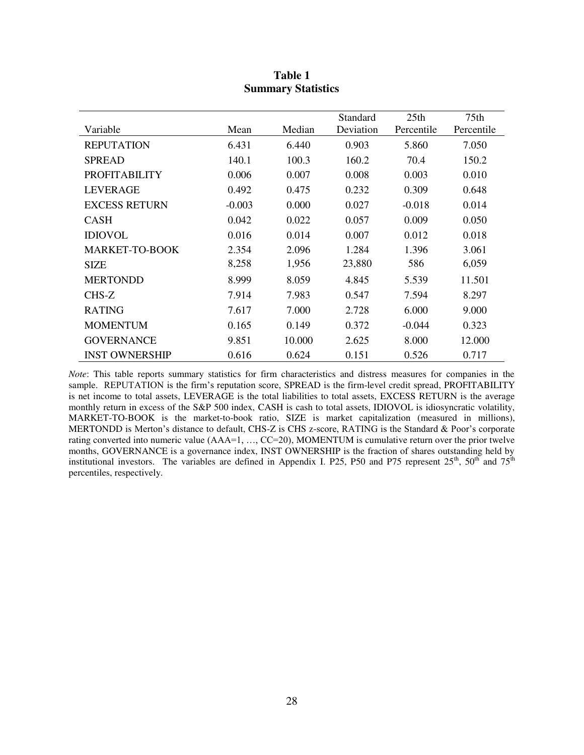|                       |          |        | Standard  | 25th       | 75 <sub>th</sub> |
|-----------------------|----------|--------|-----------|------------|------------------|
| Variable              | Mean     | Median | Deviation | Percentile | Percentile       |
| <b>REPUTATION</b>     | 6.431    | 6.440  | 0.903     | 5.860      | 7.050            |
| <b>SPREAD</b>         | 140.1    | 100.3  | 160.2     | 70.4       | 150.2            |
| <b>PROFITABILITY</b>  | 0.006    | 0.007  | 0.008     | 0.003      | 0.010            |
| LEVERAGE              | 0.492    | 0.475  | 0.232     | 0.309      | 0.648            |
| <b>EXCESS RETURN</b>  | $-0.003$ | 0.000  | 0.027     | $-0.018$   | 0.014            |
| <b>CASH</b>           | 0.042    | 0.022  | 0.057     | 0.009      | 0.050            |
| <b>IDIOVOL</b>        | 0.016    | 0.014  | 0.007     | 0.012      | 0.018            |
| <b>MARKET-TO-BOOK</b> | 2.354    | 2.096  | 1.284     | 1.396      | 3.061            |
| <b>SIZE</b>           | 8,258    | 1,956  | 23,880    | 586        | 6,059            |
| <b>MERTONDD</b>       | 8.999    | 8.059  | 4.845     | 5.539      | 11.501           |
| CHS-Z                 | 7.914    | 7.983  | 0.547     | 7.594      | 8.297            |
| <b>RATING</b>         | 7.617    | 7.000  | 2.728     | 6.000      | 9.000            |
| <b>MOMENTUM</b>       | 0.165    | 0.149  | 0.372     | $-0.044$   | 0.323            |
| <b>GOVERNANCE</b>     | 9.851    | 10.000 | 2.625     | 8.000      | 12.000           |
| <b>INST OWNERSHIP</b> | 0.616    | 0.624  | 0.151     | 0.526      | 0.717            |

# **Table 1 Summary Statistics**

*Note*: This table reports summary statistics for firm characteristics and distress measures for companies in the sample. REPUTATION is the firm's reputation score, SPREAD is the firm-level credit spread, PROFITABILITY is net income to total assets, LEVERAGE is the total liabilities to total assets, EXCESS RETURN is the average monthly return in excess of the S&P 500 index, CASH is cash to total assets, IDIOVOL is idiosyncratic volatility, MARKET-TO-BOOK is the market-to-book ratio, SIZE is market capitalization (measured in millions), MERTONDD is Merton's distance to default, CHS-Z is CHS z-score, RATING is the Standard & Poor's corporate rating converted into numeric value (AAA=1, ..., CC=20), MOMENTUM is cumulative return over the prior twelve months, GOVERNANCE is a governance index, INST OWNERSHIP is the fraction of shares outstanding held by institutional investors. The variables are defined in Appendix I. P25, P50 and P75 represent  $25<sup>th</sup>$ ,  $50<sup>th</sup>$  and  $75<sup>th</sup>$ percentiles, respectively.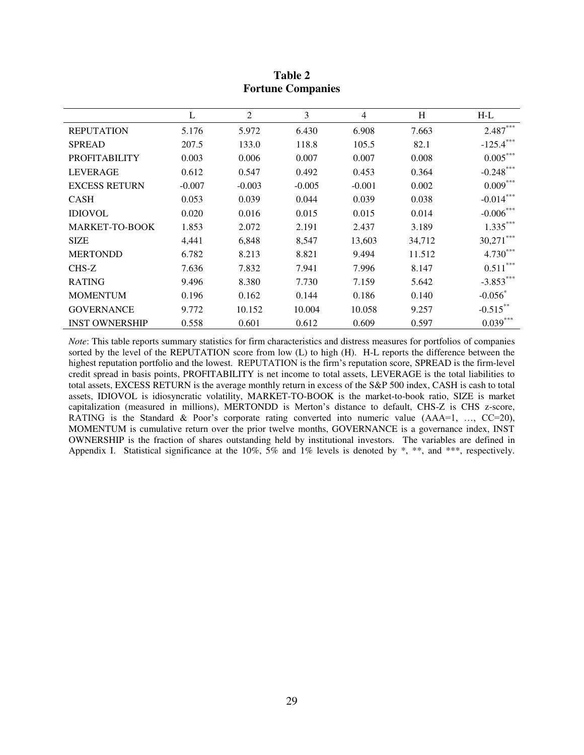|                       | L        | $\overline{2}$ | 3        | $\overline{4}$ | H      | $H-L$                 |
|-----------------------|----------|----------------|----------|----------------|--------|-----------------------|
| <b>REPUTATION</b>     | 5.176    | 5.972          | 6.430    | 6.908          | 7.663  | $2.487***$            |
| <b>SPREAD</b>         | 207.5    | 133.0          | 118.8    | 105.5          | 82.1   | $-125.4***$           |
| <b>PROFITABILITY</b>  | 0.003    | 0.006          | 0.007    | 0.007          | 0.008  | $0.005***$            |
| <b>LEVERAGE</b>       | 0.612    | 0.547          | 0.492    | 0.453          | 0.364  | $-0.248***$           |
| <b>EXCESS RETURN</b>  | $-0.007$ | $-0.003$       | $-0.005$ | $-0.001$       | 0.002  | $0.009***$            |
| <b>CASH</b>           | 0.053    | 0.039          | 0.044    | 0.039          | 0.038  | $-0.014***$           |
| <b>IDIOVOL</b>        | 0.020    | 0.016          | 0.015    | 0.015          | 0.014  | $-0.006***$           |
| <b>MARKET-TO-BOOK</b> | 1.853    | 2.072          | 2.191    | 2.437          | 3.189  | $1.335***$            |
| <b>SIZE</b>           | 4,441    | 6,848          | 8,547    | 13,603         | 34,712 | 30,271                |
| <b>MERTONDD</b>       | 6.782    | 8.213          | 8.821    | 9.494          | 11.512 | $4.730***$            |
| CHS-Z                 | 7.636    | 7.832          | 7.941    | 7.996          | 8.147  | $0.511***$            |
| <b>RATING</b>         | 9.496    | 8.380          | 7.730    | 7.159          | 5.642  | $-3.853***$           |
| <b>MOMENTUM</b>       | 0.196    | 0.162          | 0.144    | 0.186          | 0.140  | $-0.056$ <sup>*</sup> |
| <b>GOVERNANCE</b>     | 9.772    | 10.152         | 10.004   | 10.058         | 9.257  | $-0.515***$           |
| <b>INST OWNERSHIP</b> | 0.558    | 0.601          | 0.612    | 0.609          | 0.597  | $0.039***$            |

**Table 2 Fortune Companies** 

*Note*: This table reports summary statistics for firm characteristics and distress measures for portfolios of companies sorted by the level of the REPUTATION score from low (L) to high (H). H-L reports the difference between the highest reputation portfolio and the lowest. REPUTATION is the firm's reputation score, SPREAD is the firm-level credit spread in basis points, PROFITABILITY is net income to total assets, LEVERAGE is the total liabilities to total assets, EXCESS RETURN is the average monthly return in excess of the S&P 500 index, CASH is cash to total assets, IDIOVOL is idiosyncratic volatility, MARKET-TO-BOOK is the market-to-book ratio, SIZE is market capitalization (measured in millions), MERTONDD is Merton's distance to default, CHS-Z is CHS z-score, RATING is the Standard & Poor's corporate rating converted into numeric value (AAA=1, ..., CC=20), MOMENTUM is cumulative return over the prior twelve months, GOVERNANCE is a governance index, INST OWNERSHIP is the fraction of shares outstanding held by institutional investors. The variables are defined in Appendix I. Statistical significance at the 10%, 5% and 1% levels is denoted by \*, \*\*, and \*\*\*, respectively.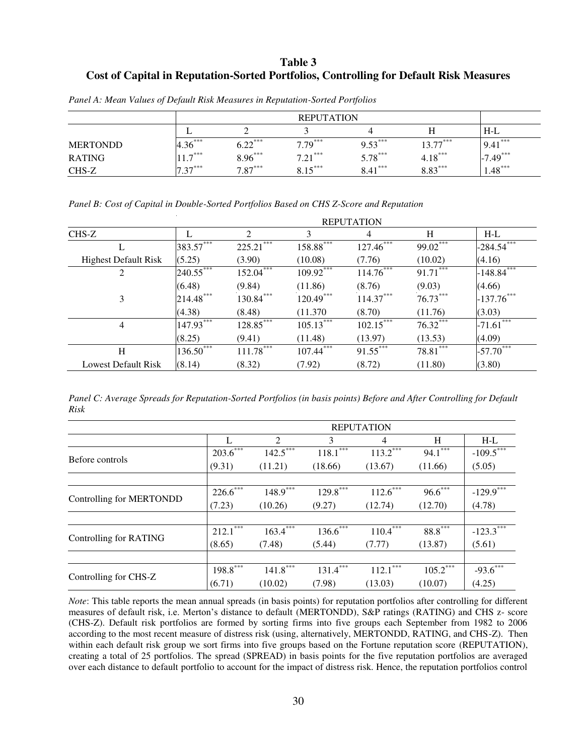# **Table 3 Cost of Capital in Reputation-Sorted Portfolios, Controlling for Default Risk Measures**

|                 |                     | $H-L$     |           |           |            |             |
|-----------------|---------------------|-----------|-----------|-----------|------------|-------------|
| <b>MERTONDD</b> | $4.36***$           | $6.22***$ | $7.79***$ | $9.53***$ | $13.77***$ | $9.41***$   |
| <b>RATING</b>   | $117^{***}$<br>11.7 | $8.96***$ | $7.21***$ | $5.78***$ | $4.18***$  | $-7.49$ *** |
| CHS-Z           | $7.27***$<br>ر .    | $7.87***$ | $ *$ ***  | $8.41***$ | $8.83***$  | $1.48***$   |

*Panel A: Mean Values of Default Risk Measures in Reputation-Sorted Portfolios* 

|  |  |  | Panel B: Cost of Capital in Double-Sorted Portfolios Based on CHS Z-Score and Reputation |
|--|--|--|------------------------------------------------------------------------------------------|
|  |  |  |                                                                                          |

|                             | <b>REPUTATION</b> |                             |              |             |            |                 |  |  |
|-----------------------------|-------------------|-----------------------------|--------------|-------------|------------|-----------------|--|--|
| CHS-Z                       |                   | $\mathcal{D}_{\mathcal{L}}$ | 3            | 4           | H          | $H-L$           |  |  |
| L                           | 383.57***         | ***<br>225.21               | 158.88***    | $127.46***$ | 99.02***   | $-284.54***$    |  |  |
| <b>Highest Default Risk</b> | (5.25)            | (3.90)                      | (10.08)      | (7.76)      | (10.02)    | (4.16)          |  |  |
| 2                           | 240.55***         | 152.04***                   | 109.92***    | $114.76***$ | $91.71***$ | $-148.84***$    |  |  |
|                             | (6.48)            | (9.84)                      | (11.86)      | (8.76)      | (9.03)     | (4.66)          |  |  |
| 3                           | 214.48***         | 130.84***                   | 120.49       | 114.37      | $76.73***$ | $-137.76***$    |  |  |
|                             | (4.38)            | (8.48)                      | (11.370)     | (8.70)      | (11.76)    | (3.03)          |  |  |
| 4                           | $147.93***$       | 128.85***                   | $105.13***$  | $102.15***$ | 76.32***   | ***<br>$-71.61$ |  |  |
|                             | (8.25)            | (9.41)                      | (11.48)      | (13.97)     | (13.53)    | (4.09)          |  |  |
| H                           | $136.50***$       | $111.78***$                 | $107.44$ *** | $91.55***$  | $78.81***$ | $-57.70***$     |  |  |
| Lowest Default Risk         | (8.14)            | (8.32)                      | (7.92)       | (8.72)      | (11.80)    | (3.80)          |  |  |

*Panel C: Average Spreads for Reputation-Sorted Portfolios (in basis points) Before and After Controlling for Default Risk* 

|                          |               | <b>REPUTATION</b>           |              |                        |            |                         |  |  |  |  |
|--------------------------|---------------|-----------------------------|--------------|------------------------|------------|-------------------------|--|--|--|--|
|                          |               | $\mathfrak{D}$              | 3            | $\overline{4}$         | H          | $H-L$                   |  |  |  |  |
| Before controls          | $203.6***$    | $142.5***$                  | ***<br>118.1 | 113.2                  | $94.1***$  | $-109.5$ <sup>***</sup> |  |  |  |  |
|                          | (9.31)        | (11.21)                     | (18.66)      | (13.67)                | (11.66)    | (5.05)                  |  |  |  |  |
|                          |               |                             |              |                        |            |                         |  |  |  |  |
|                          | $226.6^{***}$ | $148.9***$                  | $129.8***$   | $112.6***$             | $96.6***$  | $-129.9$ <sup>***</sup> |  |  |  |  |
| Controlling for MERTONDD | (7.23)        | (10.26)                     | (9.27)       | (12.74)                | (12.70)    | (4.78)                  |  |  |  |  |
|                          |               |                             |              |                        |            |                         |  |  |  |  |
|                          | ***<br>212.1  | ***<br>$163.4$ <sup>*</sup> | $136.6$ ***  | $110.4***$             | $88.8***$  | $-123.3$ <sup>***</sup> |  |  |  |  |
| Controlling for RATING   | (8.65)        | (7.48)                      | (5.44)       | (7.77)                 | (13.87)    | (5.61)                  |  |  |  |  |
|                          |               |                             |              |                        |            |                         |  |  |  |  |
|                          | $198.8***$    | $141.8***$                  | $131.4***$   | $112.1$ <sup>***</sup> | $105.2***$ | $-93.6***$              |  |  |  |  |
| Controlling for CHS-Z    | (6.71)        | (10.02)                     | (7.98)       | (13.03)                | (10.07)    | (4.25)                  |  |  |  |  |

*Note*: This table reports the mean annual spreads (in basis points) for reputation portfolios after controlling for different measures of default risk, i.e. Merton's distance to default (MERTONDD), S&P ratings (RATING) and CHS z- score (CHS-Z). Default risk portfolios are formed by sorting firms into five groups each September from 1982 to 2006 according to the most recent measure of distress risk (using, alternatively, MERTONDD, RATING, and CHS-Z). Then within each default risk group we sort firms into five groups based on the Fortune reputation score (REPUTATION), creating a total of 25 portfolios. The spread (SPREAD) in basis points for the five reputation portfolios are averaged over each distance to default portfolio to account for the impact of distress risk. Hence, the reputation portfolios control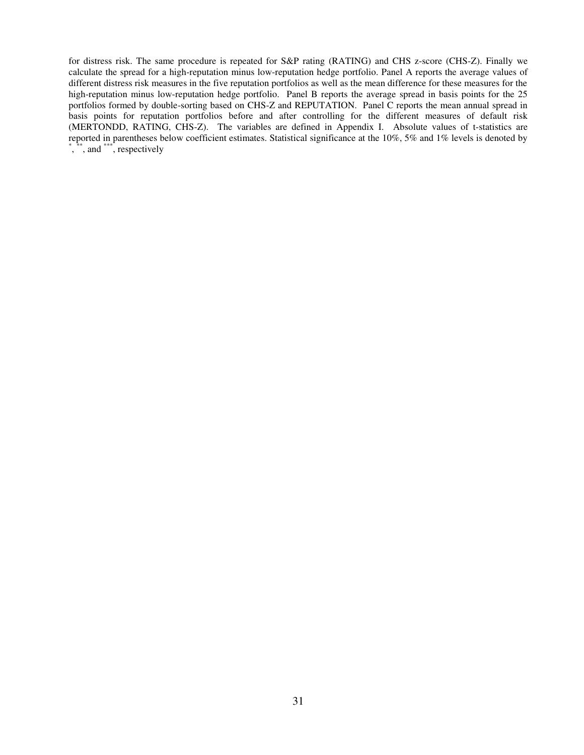for distress risk. The same procedure is repeated for S&P rating (RATING) and CHS z-score (CHS-Z). Finally we calculate the spread for a high-reputation minus low-reputation hedge portfolio. Panel A reports the average values of different distress risk measures in the five reputation portfolios as well as the mean difference for these measures for the high-reputation minus low-reputation hedge portfolio. Panel B reports the average spread in basis points for the 25 portfolios formed by double-sorting based on CHS-Z and REPUTATION. Panel C reports the mean annual spread in basis points for reputation portfolios before and after controlling for the different measures of default risk (MERTONDD, RATING, CHS-Z). The variables are defined in Appendix I. Absolute values of t-statistics are reported in parentheses below coefficient estimates. Statistical significance at the 10%, 5% and 1% levels is denoted by  $\stackrel{*,}{\cdot}$ ,  $\stackrel{***}{\cdot}$ , and  $\stackrel{***}{\cdot}$ , respectively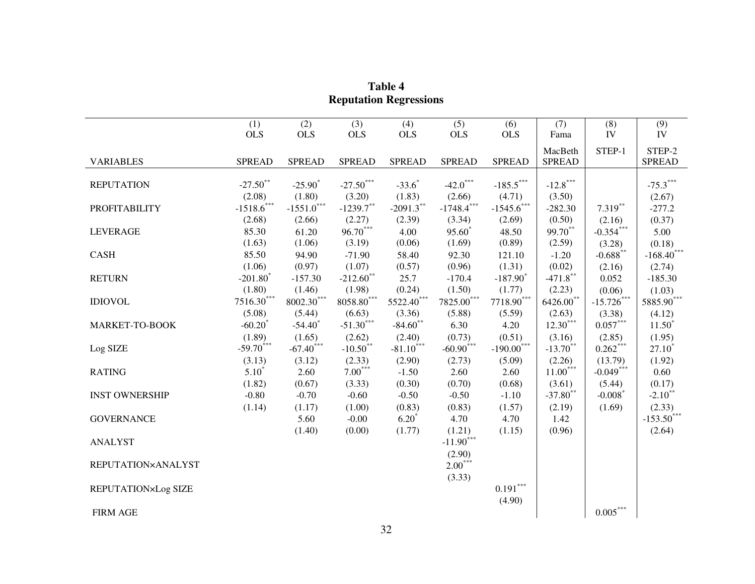|                       | (1)                               | (2)                      | (3)                      | (4)           | (5)                               | (6)                              | (7)           | (8)                          | (9)                               |
|-----------------------|-----------------------------------|--------------------------|--------------------------|---------------|-----------------------------------|----------------------------------|---------------|------------------------------|-----------------------------------|
|                       | <b>OLS</b>                        | <b>OLS</b>               | <b>OLS</b>               | <b>OLS</b>    | <b>OLS</b>                        | <b>OLS</b>                       | Fama          | IV                           | IV                                |
|                       |                                   |                          |                          |               |                                   |                                  | MacBeth       | STEP-1                       | STEP-2                            |
| <b>VARIABLES</b>      | <b>SPREAD</b>                     | <b>SPREAD</b>            | <b>SPREAD</b>            | <b>SPREAD</b> | <b>SPREAD</b>                     | <b>SPREAD</b>                    | <b>SPREAD</b> |                              | <b>SPREAD</b>                     |
|                       |                                   |                          |                          |               |                                   |                                  |               |                              |                                   |
| <b>REPUTATION</b>     | $-27.50**$                        | $-25.90^*$               | $-27.50***$              | $-33.6*$      | $-42.0$ ***                       | $\textbf{-185.5}^{\ast\ast\ast}$ | $-12.8***$    |                              | $-75.3***$                        |
|                       | (2.08)                            | (1.80)                   | (3.20)                   | (1.83)        | (2.66)                            | (4.71)                           | (3.50)        |                              | (2.67)                            |
| <b>PROFITABILITY</b>  | $\textbf{-1518.6}^{\ast\ast\ast}$ | $-1551.0$ ***            | $-1239.7***$             | $-2091.3***$  | $\textbf{-1748.4}^{\ast\ast\ast}$ | $-1545.6$ ***                    | $-282.30$     | $7.319***$                   | $-277.2$                          |
|                       | (2.68)                            | (2.66)                   | (2.27)                   | (2.39)        | (3.34)                            | (2.69)                           | (0.50)        | (2.16)                       | (0.37)                            |
| <b>LEVERAGE</b>       | 85.30                             | 61.20                    | $96.70***$               | 4.00          | 95.60 <sup>*</sup>                | 48.50                            | 99.70**       | $-0.354***$                  | 5.00                              |
|                       | (1.63)                            | (1.06)                   | (3.19)                   | (0.06)        | (1.69)                            | (0.89)                           | (2.59)        | (3.28)                       | (0.18)                            |
| <b>CASH</b>           | 85.50                             | 94.90                    | $-71.90$                 | 58.40         | 92.30                             | 121.10                           | $-1.20$       | $\textbf{-0.688}^{\ast\ast}$ | $\textbf{-168.40}^{***}$          |
|                       | (1.06)                            | (0.97)                   | (1.07)                   | (0.57)        | (0.96)                            | (1.31)                           | (0.02)        | (2.16)                       | (2.74)                            |
| <b>RETURN</b>         | $-201.80$ <sup>*</sup>            | $-157.30$                | $-212.60$ **             | 25.7          | $-170.4$                          | $-187.90$ <sup>*</sup>           | $-471.8$ **   | 0.052                        | $-185.30$                         |
|                       | (1.80)                            | (1.46)                   | (1.98)                   | (0.24)        | (1.50)                            | (1.77)                           | (2.23)        | (0.06)                       | (1.03)                            |
| <b>IDIOVOL</b>        | $7516.30***$                      | $\textbf{8002.30}^{***}$ | $8058.80^{\ast\ast\ast}$ | $5522.40***$  | $7825.00^{\ast\ast\ast}$          | $7718.90^{\ast\ast\ast}$         | $6426.00**$   | $-15.726***$                 | $5885.90^{\ast\ast\ast}$          |
|                       | (5.08)                            | (5.44)                   | (6.63)                   | (3.36)        | (5.88)                            | (5.59)                           | (2.63)        | (3.38)                       | (4.12)                            |
| MARKET-TO-BOOK        | $-60.20*$                         | $-54.40$ <sup>*</sup>    | $-51.30***$              | $-84.60**$    | 6.30                              | 4.20                             | $12.30***$    | $0.057***$                   | $11.50^*$                         |
|                       | (1.89)                            | (1.65)                   | (2.62)                   | (2.40)        | (0.73)                            | (0.51)                           | (3.16)        | (2.85)                       | (1.95)                            |
| Log SIZE              | $-59.70^{***}$                    | $-67.40^{***}$           | $-10.50$ <sup>**</sup>   | $-81.10***$   | $-60.90***$                       | $-190.00$ ***                    | $-13.70$ **   | $0.262***$                   | $27.10^*$                         |
|                       | (3.13)                            | (3.12)                   | (2.33)                   | (2.90)        | (2.73)                            | (5.09)                           | (2.26)        | (13.79)                      | (1.92)                            |
| <b>RATING</b>         | $5.10*$                           | 2.60                     | $7.00***$                | $-1.50$       | 2.60                              | 2.60                             | $11.00***$    | $-0.049***$                  | 0.60                              |
|                       | (1.82)                            | (0.67)                   | (3.33)                   | (0.30)        | (0.70)                            | (0.68)                           | (3.61)        | (5.44)                       | (0.17)                            |
| <b>INST OWNERSHIP</b> | $-0.80$                           | $-0.70$                  | $-0.60$                  | $-0.50$       | $-0.50$                           | $-1.10$                          | $-37.80$ **   | $-0.008*$                    | $-2.10$ **                        |
|                       | (1.14)                            | (1.17)                   | (1.00)                   | (0.83)        | (0.83)                            | (1.57)                           | (2.19)        | (1.69)                       | (2.33)                            |
| <b>GOVERNANCE</b>     |                                   | 5.60                     | $-0.00$                  | $6.20*$       | 4.70                              | 4.70                             | 1.42          |                              | $\textbf{-153.50}^{\ast\ast\ast}$ |
|                       |                                   | (1.40)                   | (0.00)                   | (1.77)        | (1.21)                            | (1.15)                           | (0.96)        |                              | (2.64)                            |
| <b>ANALYST</b>        |                                   |                          |                          |               | $-11.90***$                       |                                  |               |                              |                                   |
|                       |                                   |                          |                          |               | (2.90)                            |                                  |               |                              |                                   |
| REPUTATION×ANALYST    |                                   |                          |                          |               | $2.00***$                         |                                  |               |                              |                                   |
|                       |                                   |                          |                          |               | (3.33)                            |                                  |               |                              |                                   |
| REPUTATION×Log SIZE   |                                   |                          |                          |               |                                   | $0.191^{\ast\ast\ast}$           |               |                              |                                   |
|                       |                                   |                          |                          |               |                                   | (4.90)                           |               |                              |                                   |
| <b>FIRM AGE</b>       |                                   |                          |                          |               |                                   |                                  |               | $0.005\overset{***}{ }$      |                                   |

**Table 4 Reputation Regressions**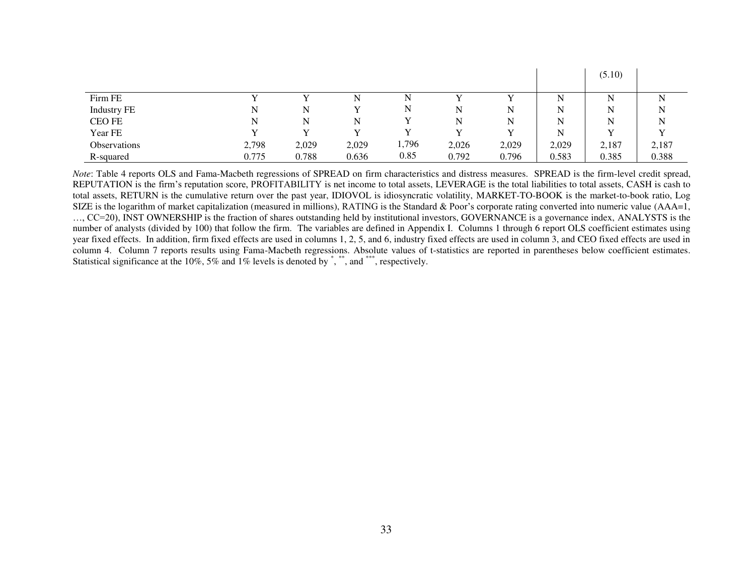|                    |       |       |       |       |       |       |       | (5.10) |       |
|--------------------|-------|-------|-------|-------|-------|-------|-------|--------|-------|
|                    |       |       |       |       |       |       |       |        |       |
| Firm FE            |       |       | N     | N     |       |       | N     | N      | N     |
| <b>Industry FE</b> | N     | N     |       | N     | N     | N     | N     | N      | N     |
| CEO FE             | N     | N     | N     |       | N     |       | N     | N      | N     |
| Year FE            |       |       |       |       |       |       | N     | v      | v     |
| Observations       | 2,798 | 2,029 | 2,029 | 1,796 | 2,026 | 2,029 | 2,029 | 2,187  | 2,187 |
| R-squared          | 0.775 | 0.788 | 0.636 | 0.85  | 0.792 | 0.796 | 0.583 | 0.385  | 0.388 |

*Note*: Table 4 reports OLS and Fama-Macbeth regressions of SPREAD on firm characteristics and distress measures. SPREAD is the firm-level credit spread, REPUTATION is the firm's reputation score, PROFITABILITY is net income to total assets, LEVERAGE is the total liabilities to total assets, CASH is cash to total assets, RETURN is the cumulative return over the past year, IDIOVOL is idiosyncratic volatility, MARKET-TO-BOOK is the market-to-book ratio, Log SIZE is the logarithm of market capitalization (measured in millions), RATING is the Standard  $\&$  Poor's corporate rating converted into numeric value (AAA=1, …, CC=20), INST OWNERSHIP is the fraction of shares outstanding held by institutional investors, GOVERNANCE is a governance index, ANALYSTS is the number of analysts (divided by 100) that follow the firm. The variables are defined in Appendix I. Columns 1 through 6 report OLS coefficient estimates using year fixed effects. In addition, firm fixed effects are used in columns 1, 2, 5, and 6, industry fixed effects are used in column 3, and CEO fixed effects are used in column 4. Column 7 reports results using Fama-Macbeth regressions. Absolute values of t-statistics are reported in parentheses below coefficient estimates. Statistical significance at the 10%, 5% and 1% levels is denoted by  $\hat{ }$ ,  $\hat{ }$ , and  $\hat{ }$ , respectively.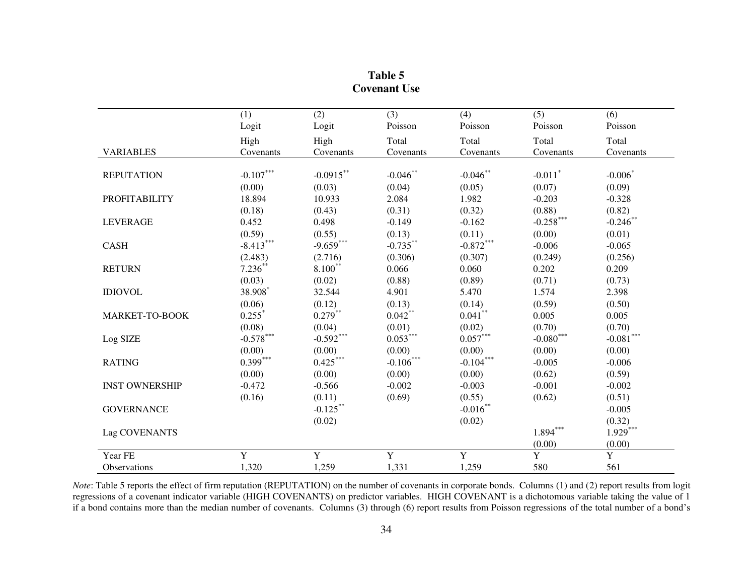|                       | (1)                              | (2)          | (3)                    | (4)                    | (5)                   | (6)                              |
|-----------------------|----------------------------------|--------------|------------------------|------------------------|-----------------------|----------------------------------|
|                       | Logit                            | Logit        | Poisson                | Poisson                | Poisson               | Poisson                          |
|                       | High                             | High         | Total                  | Total                  | Total                 | Total                            |
| <b>VARIABLES</b>      | Covenants                        | Covenants    | Covenants              | Covenants              | Covenants             | Covenants                        |
| <b>REPUTATION</b>     | $\textbf{-0.107}^{\ast\ast\ast}$ | $-0.0915***$ | $-0.046$ <sup>**</sup> | $-0.046$ **            | $-0.011$ <sup>*</sup> | $-0.006$                         |
|                       | (0.00)                           | (0.03)       | (0.04)                 | (0.05)                 | (0.07)                | (0.09)                           |
| <b>PROFITABILITY</b>  | 18.894                           | 10.933       | 2.084                  | 1.982                  | $-0.203$              | $-0.328$                         |
|                       | (0.18)                           | (0.43)       | (0.31)                 | (0.32)                 | (0.88)                | (0.82)                           |
| <b>LEVERAGE</b>       | 0.452                            | 0.498        | $-0.149$               | $-0.162$               | $-0.258$ ***          | $-0.246$ **                      |
|                       | (0.59)                           | (0.55)       | (0.13)                 | (0.11)                 | (0.00)                | (0.01)                           |
| <b>CASH</b>           | $-8.413***$                      | $-9.659***$  | $-0.735***$            | $-0.872***$            | $-0.006$              | $-0.065$                         |
|                       | (2.483)                          | (2.716)      | (0.306)                | (0.307)                | (0.249)               | (0.256)                          |
| <b>RETURN</b>         | $7.236***$                       | $8.100***$   | 0.066                  | 0.060                  | 0.202                 | 0.209                            |
|                       | (0.03)                           | (0.02)       | (0.88)                 | (0.89)                 | (0.71)                | (0.73)                           |
| <b>IDIOVOL</b>        | 38.908*                          | 32.544       | 4.901                  | 5.470                  | 1.574                 | 2.398                            |
|                       | (0.06)                           | (0.12)       | (0.13)                 | (0.14)                 | (0.59)                | (0.50)                           |
| MARKET-TO-BOOK        | $0.255$ <sup>*</sup>             | $0.279***$   | $0.042***$             | $0.041^{\ast\ast}$     | 0.005                 | 0.005                            |
|                       | (0.08)                           | (0.04)       | (0.01)                 | (0.02)                 | (0.70)                | (0.70)                           |
| Log SIZE              | $\textbf{-0.578}^{\ast\ast\ast}$ | $-0.592***$  | $0.053***$             | $0.057^{\ast\ast\ast}$ | $-0.080^{***}\,$      | $\textbf{-0.081}^{\ast\ast\ast}$ |
|                       | (0.00)                           | (0.00)       | (0.00)                 | (0.00)                 | (0.00)                | (0.00)                           |
| <b>RATING</b>         | $0.399***$                       | $0.425***$   | $-0.106$ ***           | $-0.104***$            | $-0.005$              | $-0.006$                         |
|                       | (0.00)                           | (0.00)       | (0.00)                 | (0.00)                 | (0.62)                | (0.59)                           |
| <b>INST OWNERSHIP</b> | $-0.472$                         | $-0.566$     | $-0.002$               | $-0.003$               | $-0.001$              | $-0.002$                         |
|                       | (0.16)                           | (0.11)       | (0.69)                 | (0.55)                 | (0.62)                | (0.51)                           |
| <b>GOVERNANCE</b>     |                                  | $-0.125***$  |                        | $-0.016***$            |                       | $-0.005$                         |
|                       |                                  | (0.02)       |                        | (0.02)                 |                       | (0.32)                           |
| Lag COVENANTS         |                                  |              |                        |                        | $1.894^{***}$         | $1.929***$                       |
|                       |                                  |              |                        |                        | (0.00)                | (0.00)                           |
| Year FE               | Y                                | $\mathbf Y$  | Y                      | Y                      | $\overline{Y}$        | $\overline{Y}$                   |
| <b>Observations</b>   | 1,320                            | 1,259        | 1,331                  | 1,259                  | 580                   | 561                              |

| Table 5             |
|---------------------|
| <b>Covenant Use</b> |

*Note*: Table 5 reports the effect of firm reputation (REPUTATION) on the number of covenants in corporate bonds. Columns (1) and (2) report results from logit regressions of a covenant indicator variable (HIGH COVENANTS) on predictor variables. HIGH COVENANT is a dichotomous variable taking the value of 1 if a bond contains more than the median number of covenants. Columns (3) through (6) report results from Poisson regressions of the total number of a bond's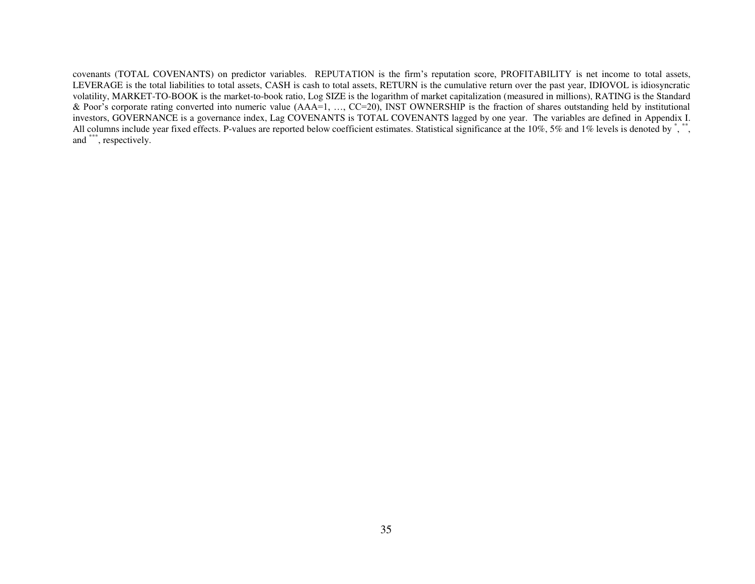covenants (TOTAL COVENANTS) on predictor variables. REPUTATION is the firm's reputation score, PROFITABILITY is net income to total assets, LEVERAGE is the total liabilities to total assets, CASH is cash to total assets, RETURN is the cumulative return over the past year, IDIOVOL is idiosyncratic volatility, MARKET-TO-BOOK is the market-to-book ratio, Log SIZE is the logarithm of market capitalization (measured in millions), RATING is the Standard & Poor's corporate rating converted into numeric value (AAA=1, …, CC=20), INST OWNERSHIP is the fraction of shares outstanding held by institutional investors, GOVERNANCE is a governance index, Lag COVENANTS is TOTAL COVENANTS lagged by one year. The variables are defined in Appendix I. All columns include year fixed effects. P-values are reported below coefficient estimates. Statistical significance at the 10%, 5% and 1% levels is denoted by \*, \*\*, and \*\*\*, respectively.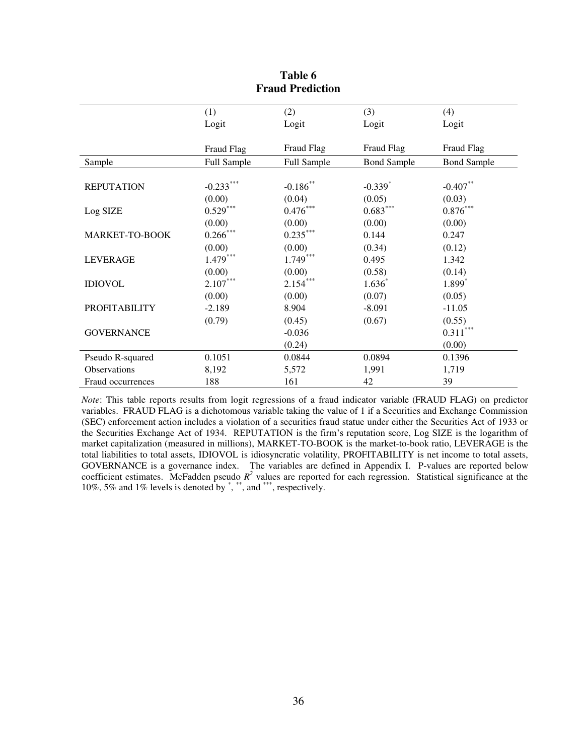|                      | (1)                    | (2)                    | (3)                | (4)                    |
|----------------------|------------------------|------------------------|--------------------|------------------------|
|                      | Logit                  | Logit                  | Logit              | Logit                  |
|                      |                        |                        |                    |                        |
|                      | Fraud Flag             | Fraud Flag             | Fraud Flag         | Fraud Flag             |
| Sample               | Full Sample            | Full Sample            | <b>Bond Sample</b> | <b>Bond Sample</b>     |
|                      |                        |                        |                    |                        |
| <b>REPUTATION</b>    | $-0.233***$            | $-0.186***$            | $-0.339*$          | $-0.407**$             |
|                      | (0.00)                 | (0.04)                 | (0.05)             | (0.03)                 |
| Log SIZE             | $0.529^{\ast\ast\ast}$ | $0.476^{\ast\ast\ast}$ | $0.683***$         | $0.876^{\ast\ast\ast}$ |
|                      | (0.00)                 | (0.00)                 | (0.00)             | (0.00)                 |
| MARKET-TO-BOOK       | $0.266***$             | $0.235***$             | 0.144              | 0.247                  |
|                      | (0.00)                 | (0.00)                 | (0.34)             | (0.12)                 |
| <b>LEVERAGE</b>      | $1.479***$             | $1.749***$             | 0.495              | 1.342                  |
|                      | (0.00)                 | (0.00)                 | (0.58)             | (0.14)                 |
| <b>IDIOVOL</b>       | $2.107***$             | $2.154***$             | $1.636*$           | 1.899*                 |
|                      | (0.00)                 | (0.00)                 | (0.07)             | (0.05)                 |
| <b>PROFITABILITY</b> | $-2.189$               | 8.904                  | $-8.091$           | $-11.05$               |
|                      | (0.79)                 | (0.45)                 | (0.67)             | (0.55)                 |
| <b>GOVERNANCE</b>    |                        | $-0.036$               |                    | $0.311***$             |
|                      |                        | (0.24)                 |                    | (0.00)                 |
| Pseudo R-squared     | 0.1051                 | 0.0844                 | 0.0894             | 0.1396                 |
| Observations         | 8,192                  | 5,572                  | 1,991              | 1,719                  |
| Fraud occurrences    | 188                    | 161                    | 42                 | 39                     |

## **Table 6 Fraud Prediction**

*Note*: This table reports results from logit regressions of a fraud indicator variable (FRAUD FLAG) on predictor variables. FRAUD FLAG is a dichotomous variable taking the value of 1 if a Securities and Exchange Commission (SEC) enforcement action includes a violation of a securities fraud statue under either the Securities Act of 1933 or the Securities Exchange Act of 1934. REPUTATION is the firm's reputation score, Log SIZE is the logarithm of market capitalization (measured in millions), MARKET-TO-BOOK is the market-to-book ratio, LEVERAGE is the total liabilities to total assets, IDIOVOL is idiosyncratic volatility, PROFITABILITY is net income to total assets, GOVERNANCE is a governance index. The variables are defined in Appendix I. P-values are reported below coefficient estimates. McFadden pseudo  $R^2$  values are reported for each regression. Statistical significance at the  $10\%, 5\%$  and  $1\%$  levels is denoted by  $\degree$ ,  $\degree$  and  $\degree$  respectively.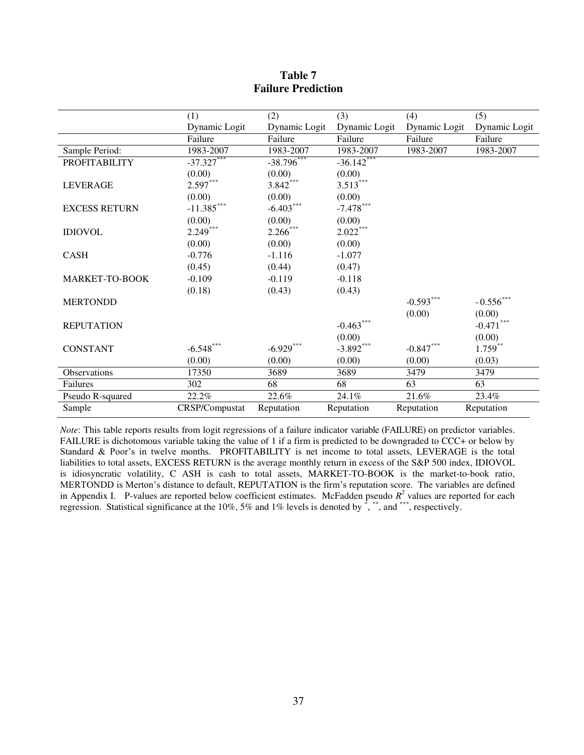|                       | (1)            | (2)           | (3)           | (4)           | (5)                  |
|-----------------------|----------------|---------------|---------------|---------------|----------------------|
|                       | Dynamic Logit  | Dynamic Logit | Dynamic Logit | Dynamic Logit | Dynamic Logit        |
|                       | Failure        | Failure       | Failure       | Failure       | Failure              |
| Sample Period:        | 1983-2007      | 1983-2007     | 1983-2007     | 1983-2007     | 1983-2007            |
| <b>PROFITABILITY</b>  | $-37.327***$   | $-38.796$ *** | $-36.142$     |               |                      |
|                       | (0.00)         | (0.00)        | (0.00)        |               |                      |
| <b>LEVERAGE</b>       | $2.597***$     | $3.842***$    | $3.513***$    |               |                      |
|                       | (0.00)         | (0.00)        | (0.00)        |               |                      |
| <b>EXCESS RETURN</b>  | $-11.385***$   | $-6.403***$   | $-7.478***$   |               |                      |
|                       | (0.00)         | (0.00)        | (0.00)        |               |                      |
| <b>IDIOVOL</b>        | $2.249***$     | $2.266$ ***   | $2.022***$    |               |                      |
|                       | (0.00)         | (0.00)        | (0.00)        |               |                      |
| <b>CASH</b>           | $-0.776$       | $-1.116$      | $-1.077$      |               |                      |
|                       | (0.45)         | (0.44)        | (0.47)        |               |                      |
| <b>MARKET-TO-BOOK</b> | $-0.109$       | $-0.119$      | $-0.118$      |               |                      |
|                       | (0.18)         | (0.43)        | (0.43)        |               |                      |
| <b>MERTONDD</b>       |                |               |               | $-0.593***$   | $\,$ - $0.556^{***}$ |
|                       |                |               |               | (0.00)        | (0.00)               |
| <b>REPUTATION</b>     |                |               | $-0.463***$   |               | $-0.471***$          |
|                       |                |               | (0.00)        |               | (0.00)               |
| <b>CONSTANT</b>       | $-6.548***$    | $-6.929***$   | $-3.892***$   | $-0.847***$   | $1.759***$           |
|                       | (0.00)         | (0.00)        | (0.00)        | (0.00)        | (0.03)               |
| Observations          | 17350          | 3689          | 3689          | 3479          | 3479                 |
| Failures              | 302            | 68            | 68            | 63            | 63                   |
| Pseudo R-squared      | 22.2%          | 22.6%         | 24.1%         | 21.6%         | 23.4%                |
| Sample                | CRSP/Compustat | Reputation    | Reputation    | Reputation    | Reputation           |

# **Table 7 Failure Prediction**

*Note*: This table reports results from logit regressions of a failure indicator variable (FAILURE) on predictor variables. FAILURE is dichotomous variable taking the value of 1 if a firm is predicted to be downgraded to CCC+ or below by Standard & Poor's in twelve months. PROFITABILITY is net income to total assets, LEVERAGE is the total liabilities to total assets, EXCESS RETURN is the average monthly return in excess of the S&P 500 index, IDIOVOL is idiosyncratic volatility, C ASH is cash to total assets, MARKET-TO-BOOK is the market-to-book ratio, MERTONDD is Merton's distance to default, REPUTATION is the firm's reputation score. The variables are defined in Appendix I. P-values are reported below coefficient estimates. McFadden pseudo  $R^2$  values are reported for each regression. Statistical significance at the 10%, 5% and 1% levels is denoted by  $\frac{1}{n}$ ,  $\frac{1}{n}$ , and  $\frac{1}{n}$ , respectively.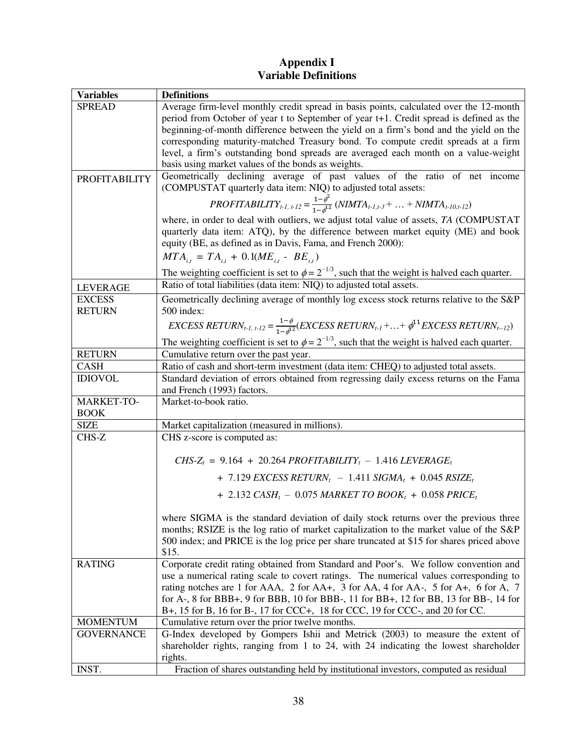# **Appendix I Variable Definitions**

| Variables            | <b>Definitions</b>                                                                                                                                                                                                                                                                   |  |  |
|----------------------|--------------------------------------------------------------------------------------------------------------------------------------------------------------------------------------------------------------------------------------------------------------------------------------|--|--|
| <b>SPREAD</b>        | Average firm-level monthly credit spread in basis points, calculated over the 12-month<br>period from October of year t to September of year t+1. Credit spread is defined as the                                                                                                    |  |  |
|                      | beginning-of-month difference between the yield on a firm's bond and the yield on the<br>corresponding maturity-matched Treasury bond. To compute credit spreads at a firm                                                                                                           |  |  |
|                      | level, a firm's outstanding bond spreads are averaged each month on a value-weight                                                                                                                                                                                                   |  |  |
|                      | basis using market values of the bonds as weights.                                                                                                                                                                                                                                   |  |  |
| <b>PROFITABILITY</b> | Geometrically declining average of past values of the ratio of net income                                                                                                                                                                                                            |  |  |
|                      | (COMPUSTAT quarterly data item: NIQ) to adjusted total assets:                                                                                                                                                                                                                       |  |  |
|                      | PROFITABILITY <sub>t-1, t-12</sub> = $\frac{1-\phi^2}{1-\phi^{12}}$ (NIMTA <sub>t-1,t-3</sub> +  + NIMTA <sub>t-10,t-12</sub> )                                                                                                                                                      |  |  |
|                      | where, in order to deal with outliers, we adjust total value of assets, TA (COMPUSTAT<br>quarterly data item: ATQ), by the difference between market equity (ME) and book<br>equity (BE, as defined as in Davis, Fama, and French 2000):                                             |  |  |
|                      | $MTA_{i,t} = TA_{i,t} + 0.1(ME_{i,t} - BE_{i,t})$                                                                                                                                                                                                                                    |  |  |
|                      | The weighting coefficient is set to $\phi = 2^{-1/3}$ , such that the weight is halved each quarter.                                                                                                                                                                                 |  |  |
| <b>LEVERAGE</b>      | Ratio of total liabilities (data item: NIQ) to adjusted total assets.                                                                                                                                                                                                                |  |  |
| <b>EXCESS</b>        | Geometrically declining average of monthly log excess stock returns relative to the S&P                                                                                                                                                                                              |  |  |
| <b>RETURN</b>        | 500 index:                                                                                                                                                                                                                                                                           |  |  |
|                      | EXCESS RETURN <sub>t-1, t-12</sub> = $\frac{1-\phi}{1-\phi^{12}}$ (EXCESS RETURN <sub>t-1</sub> ++ $\phi^{11}$ EXCESS RETURN <sub>t-12</sub> )                                                                                                                                       |  |  |
|                      | The weighting coefficient is set to $\phi = 2^{-1/3}$ , such that the weight is halved each quarter.                                                                                                                                                                                 |  |  |
| <b>RETURN</b>        | Cumulative return over the past year.                                                                                                                                                                                                                                                |  |  |
| <b>CASH</b>          | Ratio of cash and short-term investment (data item: CHEQ) to adjusted total assets.                                                                                                                                                                                                  |  |  |
| <b>IDIOVOL</b>       | Standard deviation of errors obtained from regressing daily excess returns on the Fama                                                                                                                                                                                               |  |  |
| MARKET-TO-           | and French (1993) factors.<br>Market-to-book ratio.                                                                                                                                                                                                                                  |  |  |
| <b>BOOK</b>          |                                                                                                                                                                                                                                                                                      |  |  |
| <b>SIZE</b>          | Market capitalization (measured in millions).                                                                                                                                                                                                                                        |  |  |
| CHS-Z                | CHS z-score is computed as:                                                                                                                                                                                                                                                          |  |  |
|                      |                                                                                                                                                                                                                                                                                      |  |  |
|                      | CHS-Z <sub>t</sub> = 9.164 + 20.264 PROFITABILITY <sub>t</sub> - 1.416 LEVERAGE <sub>t</sub>                                                                                                                                                                                         |  |  |
|                      | + 7.129 EXCESS RETURN <sub>t</sub> - 1.411 SIGMA <sub>t</sub> + 0.045 RSIZE <sub>t</sub>                                                                                                                                                                                             |  |  |
|                      | + 2.132 CASH <sub>t</sub> - 0.075 MARKET TO BOOK <sub>t</sub> + 0.058 PRICE <sub>t</sub>                                                                                                                                                                                             |  |  |
|                      | where SIGMA is the standard deviation of daily stock returns over the previous three<br>months; RSIZE is the log ratio of market capitalization to the market value of the S&P<br>500 index; and PRICE is the log price per share truncated at \$15 for shares priced above<br>\$15. |  |  |
| <b>RATING</b>        | Corporate credit rating obtained from Standard and Poor's. We follow convention and                                                                                                                                                                                                  |  |  |
|                      | use a numerical rating scale to covert ratings. The numerical values corresponding to                                                                                                                                                                                                |  |  |
|                      | rating notches are 1 for AAA, 2 for AA+, 3 for AA, 4 for AA-, 5 for A+, 6 for A, 7<br>for A-, 8 for BBB+, 9 for BBB, 10 for BBB-, 11 for BB+, 12 for BB, 13 for BB-, 14 for                                                                                                          |  |  |
|                      | B+, 15 for B, 16 for B-, 17 for CCC+, 18 for CCC, 19 for CCC-, and 20 for CC.                                                                                                                                                                                                        |  |  |
| <b>MOMENTUM</b>      | Cumulative return over the prior twelve months.                                                                                                                                                                                                                                      |  |  |
| <b>GOVERNANCE</b>    | G-Index developed by Gompers Ishii and Metrick (2003) to measure the extent of                                                                                                                                                                                                       |  |  |
|                      | shareholder rights, ranging from 1 to 24, with 24 indicating the lowest shareholder                                                                                                                                                                                                  |  |  |
|                      | rights.                                                                                                                                                                                                                                                                              |  |  |
| INST.                | Fraction of shares outstanding held by institutional investors, computed as residual                                                                                                                                                                                                 |  |  |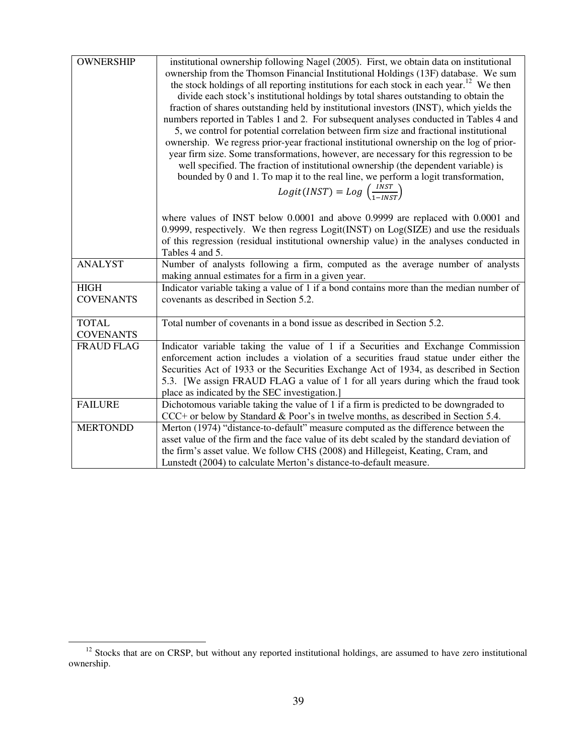| <b>OWNERSHIP</b>  | institutional ownership following Nagel (2005). First, we obtain data on institutional              |  |  |
|-------------------|-----------------------------------------------------------------------------------------------------|--|--|
|                   |                                                                                                     |  |  |
|                   | ownership from the Thomson Financial Institutional Holdings (13F) database. We sum                  |  |  |
|                   | the stock holdings of all reporting institutions for each stock in each year. <sup>12</sup> We then |  |  |
|                   | divide each stock's institutional holdings by total shares outstanding to obtain the                |  |  |
|                   | fraction of shares outstanding held by institutional investors (INST), which yields the             |  |  |
|                   | numbers reported in Tables 1 and 2. For subsequent analyses conducted in Tables 4 and               |  |  |
|                   | 5, we control for potential correlation between firm size and fractional institutional              |  |  |
|                   | ownership. We regress prior-year fractional institutional ownership on the log of prior-            |  |  |
|                   | year firm size. Some transformations, however, are necessary for this regression to be              |  |  |
|                   |                                                                                                     |  |  |
|                   | well specified. The fraction of institutional ownership (the dependent variable) is                 |  |  |
|                   | bounded by 0 and 1. To map it to the real line, we perform a logit transformation,                  |  |  |
|                   | $Logit(INST) = Log \left( \frac{INST}{1 - INST} \right)$                                            |  |  |
|                   | where values of INST below $0.0001$ and above $0.9999$ are replaced with $0.0001$ and               |  |  |
|                   | 0.9999, respectively. We then regress $Logit(INST)$ on $Log(SIZE)$ and use the residuals            |  |  |
|                   | of this regression (residual institutional ownership value) in the analyses conducted in            |  |  |
|                   | Tables 4 and 5.                                                                                     |  |  |
| <b>ANALYST</b>    | Number of analysts following a firm, computed as the average number of analysts                     |  |  |
|                   | making annual estimates for a firm in a given year.                                                 |  |  |
| <b>HIGH</b>       | Indicator variable taking a value of 1 if a bond contains more than the median number of            |  |  |
| <b>COVENANTS</b>  | covenants as described in Section 5.2.                                                              |  |  |
|                   |                                                                                                     |  |  |
| <b>TOTAL</b>      | Total number of covenants in a bond issue as described in Section 5.2.                              |  |  |
| <b>COVENANTS</b>  |                                                                                                     |  |  |
| <b>FRAUD FLAG</b> | Indicator variable taking the value of 1 if a Securities and Exchange Commission                    |  |  |
|                   | enforcement action includes a violation of a securities fraud statue under either the               |  |  |
|                   | Securities Act of 1933 or the Securities Exchange Act of 1934, as described in Section              |  |  |
|                   | 5.3. [We assign FRAUD FLAG a value of 1 for all years during which the fraud took                   |  |  |
|                   | place as indicated by the SEC investigation.]                                                       |  |  |
| <b>FAILURE</b>    |                                                                                                     |  |  |
|                   | Dichotomous variable taking the value of 1 if a firm is predicted to be downgraded to               |  |  |
|                   | $CCC+$ or below by Standard & Poor's in twelve months, as described in Section 5.4.                 |  |  |
| <b>MERTONDD</b>   | Merton (1974) "distance-to-default" measure computed as the difference between the                  |  |  |
|                   | asset value of the firm and the face value of its debt scaled by the standard deviation of          |  |  |
|                   | the firm's asset value. We follow CHS (2008) and Hillegeist, Keating, Cram, and                     |  |  |
|                   | Lunstedt (2004) to calculate Merton's distance-to-default measure.                                  |  |  |

 $\overline{a}$ 

<sup>&</sup>lt;sup>12</sup> Stocks that are on CRSP, but without any reported institutional holdings, are assumed to have zero institutional ownership.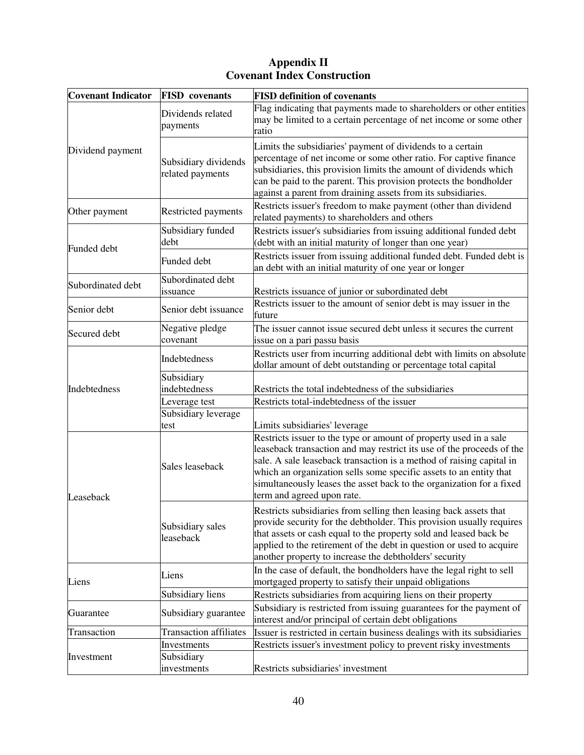# **Appendix II Covenant Index Construction**

| <b>Covenant Indicator</b> | <b>FISD</b> covenants                    | <b>FISD definition of covenants</b>                                                                                                                                                                                                                                                                                                                                                            |
|---------------------------|------------------------------------------|------------------------------------------------------------------------------------------------------------------------------------------------------------------------------------------------------------------------------------------------------------------------------------------------------------------------------------------------------------------------------------------------|
| Dividend payment          | Dividends related<br>payments            | Flag indicating that payments made to shareholders or other entities<br>may be limited to a certain percentage of net income or some other<br>ratio                                                                                                                                                                                                                                            |
|                           | Subsidiary dividends<br>related payments | Limits the subsidiaries' payment of dividends to a certain<br>percentage of net income or some other ratio. For captive finance<br>subsidiaries, this provision limits the amount of dividends which<br>can be paid to the parent. This provision protects the bondholder<br>against a parent from draining assets from its subsidiaries.                                                      |
| Other payment             | <b>Restricted payments</b>               | Restricts issuer's freedom to make payment (other than dividend<br>related payments) to shareholders and others                                                                                                                                                                                                                                                                                |
| Funded debt               | Subsidiary funded<br>debt                | Restricts issuer's subsidiaries from issuing additional funded debt<br>(debt with an initial maturity of longer than one year)                                                                                                                                                                                                                                                                 |
|                           | Funded debt                              | Restricts issuer from issuing additional funded debt. Funded debt is<br>an debt with an initial maturity of one year or longer                                                                                                                                                                                                                                                                 |
| Subordinated debt         | Subordinated debt<br>issuance            | Restricts issuance of junior or subordinated debt                                                                                                                                                                                                                                                                                                                                              |
| Senior debt               | Senior debt issuance                     | Restricts issuer to the amount of senior debt is may issuer in the<br>future                                                                                                                                                                                                                                                                                                                   |
| Secured debt              | Negative pledge<br>covenant              | The issuer cannot issue secured debt unless it secures the current<br>issue on a pari passu basis                                                                                                                                                                                                                                                                                              |
|                           | Indebtedness                             | Restricts user from incurring additional debt with limits on absolute<br>dollar amount of debt outstanding or percentage total capital                                                                                                                                                                                                                                                         |
| Indebtedness              | Subsidiary<br>indebtedness               | Restricts the total indebtedness of the subsidiaries                                                                                                                                                                                                                                                                                                                                           |
|                           | Leverage test                            | Restricts total-indebtedness of the issuer                                                                                                                                                                                                                                                                                                                                                     |
|                           | Subsidiary leverage<br>test              | Limits subsidiaries' leverage                                                                                                                                                                                                                                                                                                                                                                  |
| Leaseback                 | Sales leaseback                          | Restricts issuer to the type or amount of property used in a sale<br>leaseback transaction and may restrict its use of the proceeds of the<br>sale. A sale leaseback transaction is a method of raising capital in<br>which an organization sells some specific assets to an entity that<br>simultaneously leases the asset back to the organization for a fixed<br>term and agreed upon rate. |
|                           | Subsidiary sales<br>leaseback            | Restricts subsidiaries from selling then leasing back assets that<br>provide security for the debtholder. This provision usually requires<br>that assets or cash equal to the property sold and leased back be<br>applied to the retirement of the debt in question or used to acquire<br>another property to increase the debtholders' security                                               |
| Liens                     | Liens                                    | In the case of default, the bondholders have the legal right to sell<br>mortgaged property to satisfy their unpaid obligations                                                                                                                                                                                                                                                                 |
|                           | Subsidiary liens                         | Restricts subsidiaries from acquiring liens on their property                                                                                                                                                                                                                                                                                                                                  |
| Guarantee                 | Subsidiary guarantee                     | Subsidiary is restricted from issuing guarantees for the payment of<br>interest and/or principal of certain debt obligations                                                                                                                                                                                                                                                                   |
| Transaction               | <b>Transaction affiliates</b>            | Issuer is restricted in certain business dealings with its subsidiaries                                                                                                                                                                                                                                                                                                                        |
|                           | Investments                              | Restricts issuer's investment policy to prevent risky investments                                                                                                                                                                                                                                                                                                                              |
| Investment                | Subsidiary<br>investments                | Restricts subsidiaries' investment                                                                                                                                                                                                                                                                                                                                                             |